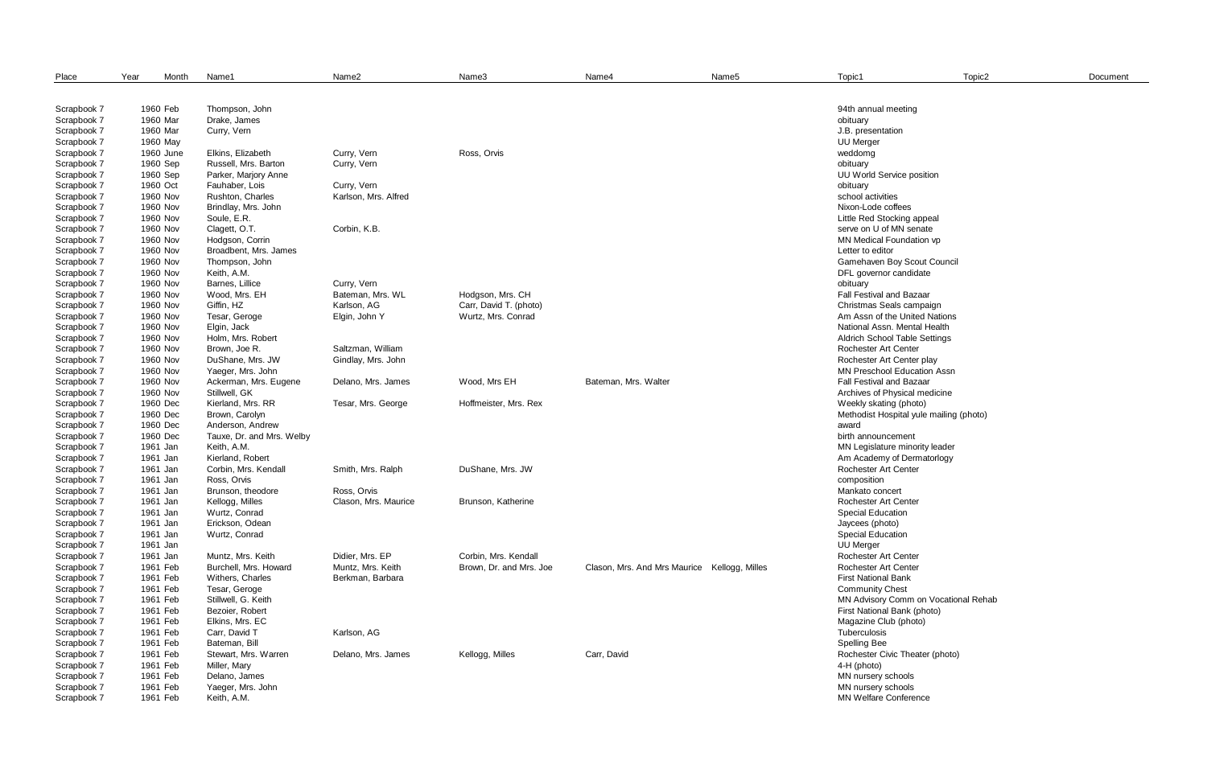| Place       | Year      | Month | Name1                     | Name <sub>2</sub>    | Name3                   | Name4                                        | Name <sub>5</sub> | Topic1                                  | Topic2 | Document |
|-------------|-----------|-------|---------------------------|----------------------|-------------------------|----------------------------------------------|-------------------|-----------------------------------------|--------|----------|
|             |           |       |                           |                      |                         |                                              |                   |                                         |        |          |
| Scrapbook 7 | 1960 Feb  |       | Thompson, John            |                      |                         |                                              |                   | 94th annual meeting                     |        |          |
| Scrapbook 7 | 1960 Mar  |       | Drake, James              |                      |                         |                                              |                   | obituary                                |        |          |
| Scrapbook 7 | 1960 Mar  |       | Curry, Vern               |                      |                         |                                              |                   | J.B. presentation                       |        |          |
| Scrapbook 7 | 1960 May  |       |                           |                      |                         |                                              |                   | <b>UU Merger</b>                        |        |          |
| Scrapbook 7 | 1960 June |       | Elkins, Elizabeth         | Curry, Vern          | Ross, Orvis             |                                              |                   | weddomg                                 |        |          |
| Scrapbook 7 | 1960 Sep  |       | Russell, Mrs. Barton      | Curry, Vern          |                         |                                              |                   | obituary                                |        |          |
| Scrapbook 7 | 1960 Sep  |       | Parker, Marjory Anne      |                      |                         |                                              |                   | UU World Service position               |        |          |
| Scrapbook 7 | 1960 Oct  |       | Fauhaber, Lois            | Curry, Vern          |                         |                                              |                   | obituary                                |        |          |
| Scrapbook 7 | 1960 Nov  |       | Rushton, Charles          | Karlson, Mrs. Alfred |                         |                                              |                   | school activities                       |        |          |
| Scrapbook 7 | 1960 Nov  |       | Brindlay, Mrs. John       |                      |                         |                                              |                   | Nixon-Lode coffees                      |        |          |
| Scrapbook 7 | 1960 Nov  |       | Soule, E.R.               |                      |                         |                                              |                   | Little Red Stocking appeal              |        |          |
| Scrapbook 7 | 1960 Nov  |       | Clagett, O.T.             | Corbin, K.B.         |                         |                                              |                   | serve on U of MN senate                 |        |          |
| Scrapbook 7 | 1960 Nov  |       | Hodgson, Corrin           |                      |                         |                                              |                   | MN Medical Foundation vp                |        |          |
| Scrapbook 7 | 1960 Nov  |       | Broadbent, Mrs. James     |                      |                         |                                              |                   | Letter to editor                        |        |          |
| Scrapbook 7 | 1960 Nov  |       | Thompson, John            |                      |                         |                                              |                   | Gamehaven Boy Scout Council             |        |          |
| Scrapbook 7 | 1960 Nov  |       | Keith, A.M.               |                      |                         |                                              |                   | DFL governor candidate                  |        |          |
| Scrapbook 7 | 1960 Nov  |       | Barnes, Lillice           | Curry, Vern          |                         |                                              |                   | obituary                                |        |          |
| Scrapbook 7 | 1960 Nov  |       | Wood, Mrs. EH             | Bateman, Mrs. WL     | Hodgson, Mrs. CH        |                                              |                   | Fall Festival and Bazaar                |        |          |
| Scrapbook 7 | 1960 Nov  |       | Giffin, HZ                | Karlson, AG          | Carr, David T. (photo)  |                                              |                   | Christmas Seals campaign                |        |          |
| Scrapbook 7 | 1960 Nov  |       | Tesar, Geroge             | Elgin, John Y        | Wurtz, Mrs. Conrad      |                                              |                   | Am Assn of the United Nations           |        |          |
| Scrapbook 7 | 1960 Nov  |       | Elgin, Jack               |                      |                         |                                              |                   | National Assn. Mental Health            |        |          |
| Scrapbook 7 | 1960 Nov  |       | Holm, Mrs. Robert         |                      |                         |                                              |                   | <b>Aldrich School Table Settings</b>    |        |          |
| Scrapbook 7 | 1960 Nov  |       | Brown, Joe R.             | Saltzman, William    |                         |                                              |                   | <b>Rochester Art Center</b>             |        |          |
| Scrapbook 7 | 1960 Nov  |       | DuShane, Mrs. JW          | Gindlay, Mrs. John   |                         |                                              |                   | Rochester Art Center play               |        |          |
| Scrapbook 7 | 1960 Nov  |       | Yaeger, Mrs. John         |                      |                         |                                              |                   | <b>MN Preschool Education Assn</b>      |        |          |
| Scrapbook 7 | 1960 Nov  |       | Ackerman, Mrs. Eugene     | Delano, Mrs. James   | Wood, Mrs EH            | Bateman, Mrs. Walter                         |                   | Fall Festival and Bazaar                |        |          |
| Scrapbook 7 | 1960 Nov  |       | Stillwell, GK             |                      |                         |                                              |                   | Archives of Physical medicine           |        |          |
| Scrapbook 7 | 1960 Dec  |       | Kierland, Mrs. RR         | Tesar, Mrs. George   | Hoffmeister, Mrs. Rex   |                                              |                   | Weekly skating (photo)                  |        |          |
| Scrapbook 7 | 1960 Dec  |       | Brown, Carolyn            |                      |                         |                                              |                   | Methodist Hospital yule mailing (photo) |        |          |
| Scrapbook 7 | 1960 Dec  |       | Anderson, Andrew          |                      |                         |                                              |                   | award                                   |        |          |
| Scrapbook 7 | 1960 Dec  |       | Tauxe, Dr. and Mrs. Welby |                      |                         |                                              |                   | birth announcement                      |        |          |
| Scrapbook 7 | 1961 Jan  |       | Keith, A.M.               |                      |                         |                                              |                   | MN Legislature minority leader          |        |          |
| Scrapbook 7 | 1961 Jan  |       | Kierland, Robert          |                      |                         |                                              |                   | Am Academy of Dermatorlogy              |        |          |
| Scrapbook 7 | 1961 Jan  |       | Corbin, Mrs. Kendall      | Smith, Mrs. Ralph    | DuShane, Mrs. JW        |                                              |                   | <b>Rochester Art Center</b>             |        |          |
| Scrapbook 7 | 1961 Jan  |       | Ross, Orvis               |                      |                         |                                              |                   | composition                             |        |          |
| Scrapbook 7 | 1961 Jan  |       | Brunson, theodore         | Ross, Orvis          |                         |                                              |                   | Mankato concert                         |        |          |
| Scrapbook 7 | 1961 Jan  |       | Kellogg, Milles           | Clason, Mrs. Maurice | Brunson, Katherine      |                                              |                   | <b>Rochester Art Center</b>             |        |          |
| Scrapbook 7 | 1961 Jan  |       | Wurtz, Conrad             |                      |                         |                                              |                   | <b>Special Education</b>                |        |          |
| Scrapbook 7 | 1961 Jan  |       | Erickson, Odean           |                      |                         |                                              |                   | Jaycees (photo)                         |        |          |
| Scrapbook 7 | 1961 Jan  |       | Wurtz, Conrad             |                      |                         |                                              |                   | <b>Special Education</b>                |        |          |
| Scrapbook 7 | 1961 Jan  |       |                           |                      |                         |                                              |                   | <b>UU Merger</b>                        |        |          |
| Scrapbook 7 | 1961 Jan  |       | Muntz, Mrs. Keith         | Didier, Mrs. EP      | Corbin, Mrs. Kendall    |                                              |                   | <b>Rochester Art Center</b>             |        |          |
| Scrapbook 7 | 1961 Feb  |       | Burchell, Mrs. Howard     | Muntz, Mrs. Keith    | Brown, Dr. and Mrs. Joe | Clason, Mrs. And Mrs Maurice Kellogg, Milles |                   | Rochester Art Center                    |        |          |
| Scrapbook 7 | 1961 Feb  |       | Withers, Charles          | Berkman, Barbara     |                         |                                              |                   | <b>First National Bank</b>              |        |          |
| Scrapbook 7 | 1961 Feb  |       | Tesar, Geroge             |                      |                         |                                              |                   | <b>Community Chest</b>                  |        |          |
| Scrapbook 7 | 1961 Feb  |       | Stillwell, G. Keith       |                      |                         |                                              |                   | MN Advisory Comm on Vocational Rehab    |        |          |
| Scrapbook 7 | 1961 Feb  |       | Bezoier, Robert           |                      |                         |                                              |                   | First National Bank (photo)             |        |          |
| Scrapbook 7 | 1961 Feb  |       | Elkins, Mrs. EC           |                      |                         |                                              |                   | Magazine Club (photo)                   |        |          |
| Scrapbook 7 | 1961 Feb  |       | Carr, David T             | Karlson, AG          |                         |                                              |                   | Tuberculosis                            |        |          |
| Scrapbook 7 | 1961 Feb  |       | Bateman, Bill             |                      |                         |                                              |                   | <b>Spelling Bee</b>                     |        |          |
| Scrapbook 7 | 1961 Feb  |       | Stewart, Mrs. Warren      | Delano, Mrs. James   | Kellogg, Milles         | Carr, David                                  |                   | Rochester Civic Theater (photo)         |        |          |
| Scrapbook 7 | 1961 Feb  |       | Miller, Mary              |                      |                         |                                              |                   | 4-H (photo)                             |        |          |
| Scrapbook 7 | 1961 Feb  |       | Delano, James             |                      |                         |                                              |                   | MN nursery schools                      |        |          |
| Scrapbook 7 | 1961 Feb  |       | Yaeger, Mrs. John         |                      |                         |                                              |                   | MN nursery schools                      |        |          |
| Scrapbook 7 | 1961 Feb  |       | Keith, A.M.               |                      |                         |                                              |                   | <b>MN Welfare Conference</b>            |        |          |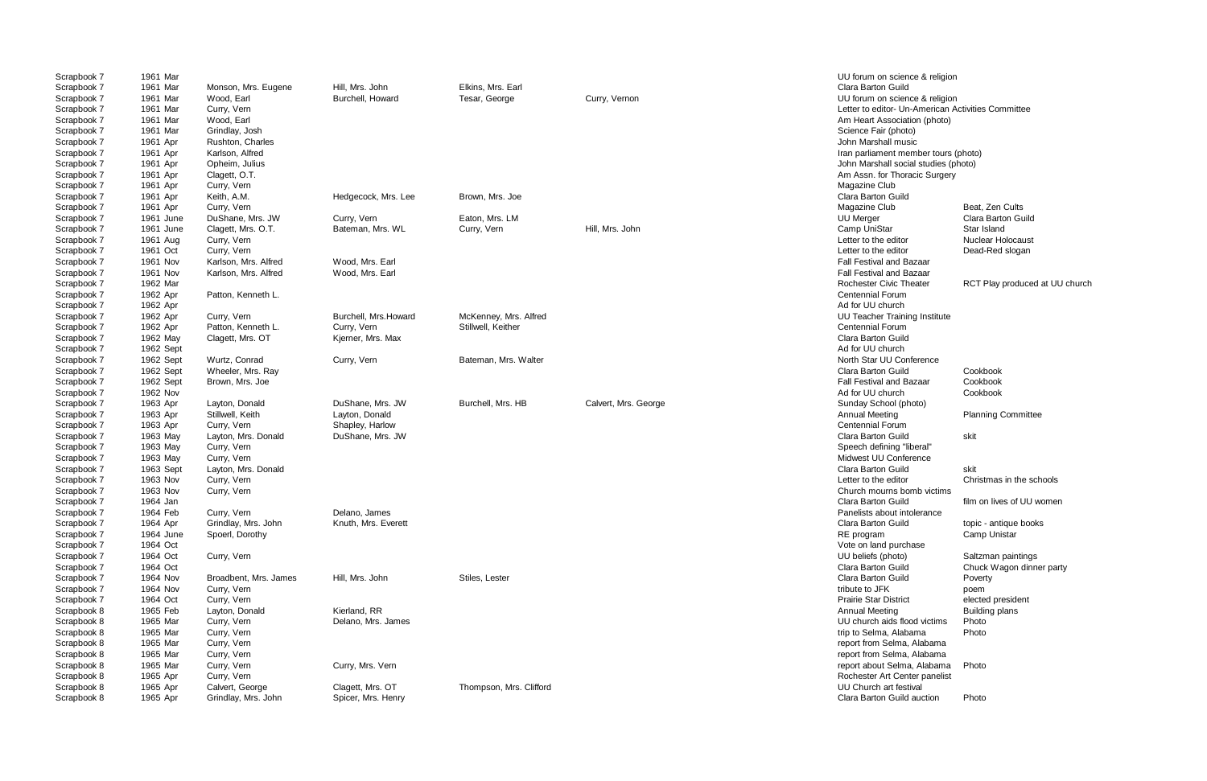| Scrapbook 7 | 1961 Mar  |                       |                       |                         |                      | UU forum on science & religion                     |                           |
|-------------|-----------|-----------------------|-----------------------|-------------------------|----------------------|----------------------------------------------------|---------------------------|
| Scrapbook 7 | 1961 Mar  | Monson, Mrs. Eugene   | Hill, Mrs. John       | Elkins, Mrs. Earl       |                      | Clara Barton Guild                                 |                           |
| Scrapbook 7 | 1961 Mar  | Wood, Earl            | Burchell, Howard      | Tesar, George           | Curry, Vernon        | UU forum on science & religion                     |                           |
| Scrapbook 7 | 1961 Mar  | Curry, Vern           |                       |                         |                      | Letter to editor- Un-American Activities Committee |                           |
| Scrapbook 7 | 1961 Mar  | Wood, Earl            |                       |                         |                      | Am Heart Association (photo)                       |                           |
| Scrapbook 7 | 1961 Mar  | Grindlay, Josh        |                       |                         |                      | Science Fair (photo)                               |                           |
| Scrapbook 7 | 1961 Apr  | Rushton, Charles      |                       |                         |                      | John Marshall music                                |                           |
| Scrapbook 7 | 1961 Apr  | Karlson, Alfred       |                       |                         |                      | Iran parliament member tours (photo)               |                           |
| Scrapbook 7 | 1961 Apr  | Opheim, Julius        |                       |                         |                      | John Marshall social studies (photo)               |                           |
| Scrapbook 7 | 1961 Apr  | Clagett, O.T.         |                       |                         |                      | Am Assn. for Thoracic Surgery                      |                           |
| Scrapbook 7 | 1961 Apr  | Curry, Vern           |                       |                         |                      | Magazine Club                                      |                           |
| Scrapbook 7 | 1961 Apr  | Keith, A.M.           | Hedgecock, Mrs. Lee   | Brown, Mrs. Joe         |                      | Clara Barton Guild                                 |                           |
|             |           |                       |                       |                         |                      |                                                    |                           |
| Scrapbook 7 | 1961 Apr  | Curry, Vern           |                       |                         |                      | Magazine Club                                      | Beat, Zen Cults           |
| Scrapbook 7 | 1961 June | DuShane, Mrs. JW      | Curry, Vern           | Eaton, Mrs. LM          |                      | <b>UU Merger</b>                                   | Clara Barton Guild        |
| Scrapbook 7 | 1961 June | Clagett, Mrs. O.T.    | Bateman, Mrs. WL      | Curry, Vern             | Hill, Mrs. John      | Camp UniStar                                       | Star Island               |
| Scrapbook 7 | 1961 Aug  | Curry, Vern           |                       |                         |                      | Letter to the editor                               | <b>Nuclear Holocaust</b>  |
| Scrapbook 7 | 1961 Oct  | Curry, Vern           |                       |                         |                      | Letter to the editor                               | Dead-Red slogan           |
| Scrapbook 7 | 1961 Nov  | Karlson, Mrs. Alfred  | Wood, Mrs. Earl       |                         |                      | <b>Fall Festival and Bazaar</b>                    |                           |
| Scrapbook 7 | 1961 Nov  | Karlson, Mrs. Alfred  | Wood, Mrs. Earl       |                         |                      | <b>Fall Festival and Bazaar</b>                    |                           |
| Scrapbook 7 | 1962 Mar  |                       |                       |                         |                      | <b>Rochester Civic Theater</b>                     | RCT Play produced at UL   |
| Scrapbook 7 | 1962 Apr  | Patton, Kenneth L.    |                       |                         |                      | <b>Centennial Forum</b>                            |                           |
| Scrapbook 7 | 1962 Apr  |                       |                       |                         |                      | Ad for UU church                                   |                           |
| Scrapbook 7 | 1962 Apr  | Curry, Vern           | Burchell, Mrs. Howard | McKenney, Mrs. Alfred   |                      | <b>UU Teacher Training Institute</b>               |                           |
| Scrapbook 7 | 1962 Apr  | Patton, Kenneth L.    | Curry, Vern           | Stillwell, Keither      |                      | <b>Centennial Forum</b>                            |                           |
| Scrapbook 7 | 1962 May  | Clagett, Mrs. OT      | Kjerner, Mrs. Max     |                         |                      | Clara Barton Guild                                 |                           |
| Scrapbook 7 | 1962 Sept |                       |                       |                         |                      | Ad for UU church                                   |                           |
| Scrapbook 7 | 1962 Sept | Wurtz, Conrad         | Curry, Vern           | Bateman, Mrs. Walter    |                      | North Star UU Conference                           |                           |
| Scrapbook 7 | 1962 Sept | Wheeler, Mrs. Ray     |                       |                         |                      | Clara Barton Guild                                 | Cookbook                  |
| Scrapbook 7 | 1962 Sept |                       |                       |                         |                      | Fall Festival and Bazaar                           | Cookbook                  |
|             |           | Brown, Mrs. Joe       |                       |                         |                      |                                                    |                           |
| Scrapbook 7 | 1962 Nov  |                       |                       |                         |                      | Ad for UU church                                   | Cookbook                  |
| Scrapbook 7 | 1963 Apr  | Layton, Donald        | DuShane, Mrs. JW      | Burchell, Mrs. HB       | Calvert, Mrs. George | Sunday School (photo)                              |                           |
| Scrapbook 7 | 1963 Apr  | Stillwell, Keith      | Layton, Donald        |                         |                      | Annual Meeting                                     | <b>Planning Committee</b> |
| Scrapbook 7 | 1963 Apr  | Curry, Vern           | Shapley, Harlow       |                         |                      | <b>Centennial Forum</b>                            |                           |
| Scrapbook 7 | 1963 May  | Layton, Mrs. Donald   | DuShane, Mrs. JW      |                         |                      | Clara Barton Guild                                 | skit                      |
| Scrapbook 7 | 1963 May  | Curry, Vern           |                       |                         |                      | Speech defining "liberal"                          |                           |
| Scrapbook 7 | 1963 May  | Curry, Vern           |                       |                         |                      | Midwest UU Conference                              |                           |
| Scrapbook 7 | 1963 Sept | Layton, Mrs. Donald   |                       |                         |                      | Clara Barton Guild                                 | skit                      |
| Scrapbook 7 | 1963 Nov  | Curry, Vern           |                       |                         |                      | Letter to the editor                               | Christmas in the schools  |
| Scrapbook 7 | 1963 Nov  | Curry, Vern           |                       |                         |                      | Church mourns bomb victims                         |                           |
| Scrapbook 7 | 1964 Jan  |                       |                       |                         |                      | <b>Clara Barton Guild</b>                          | film on lives of UU women |
| Scrapbook 7 | 1964 Feb  | Curry, Vern           | Delano, James         |                         |                      | Panelists about intolerance                        |                           |
| Scrapbook 7 | 1964 Apr  | Grindlay, Mrs. John   | Knuth, Mrs. Everett   |                         |                      | Clara Barton Guild                                 | topic - antique books     |
| Scrapbook 7 | 1964 June | Spoerl, Dorothy       |                       |                         |                      | RE program                                         | Camp Unistar              |
| Scrapbook 7 | 1964 Oct  |                       |                       |                         |                      | Vote on land purchase                              |                           |
| Scrapbook 7 | 1964 Oct  | Curry, Vern           |                       |                         |                      | UU beliefs (photo)                                 | Saltzman paintings        |
| Scrapbook 7 | 1964 Oct  |                       |                       |                         |                      | Clara Barton Guild                                 | Chuck Wagon dinner part   |
| Scrapbook 7 | 1964 Nov  | Broadbent, Mrs. James | Hill, Mrs. John       | Stiles, Lester          |                      | Clara Barton Guild                                 |                           |
| Scrapbook 7 |           |                       |                       |                         |                      | tribute to JFK                                     | Poverty                   |
|             | 1964 Nov  | Curry, Vern           |                       |                         |                      |                                                    | poem                      |
| Scrapbook 7 | 1964 Oct  | Curry, Vern           |                       |                         |                      | <b>Prairie Star District</b>                       | elected president         |
| Scrapbook 8 | 1965 Feb  | Layton, Donald        | Kierland, RR          |                         |                      | <b>Annual Meeting</b>                              | <b>Building plans</b>     |
| Scrapbook 8 | 1965 Mar  | Curry, Vern           | Delano, Mrs. James    |                         |                      | UU church aids flood victims                       | Photo                     |
| Scrapbook 8 | 1965 Mar  | Curry, Vern           |                       |                         |                      | trip to Selma, Alabama                             | Photo                     |
| Scrapbook 8 | 1965 Mar  | Curry, Vern           |                       |                         |                      | report from Selma, Alabama                         |                           |
| Scrapbook 8 | 1965 Mar  | Curry, Vern           |                       |                         |                      | report from Selma, Alabama                         |                           |
| Scrapbook 8 | 1965 Mar  | Curry, Vern           | Curry, Mrs. Vern      |                         |                      | report about Selma, Alabama                        | Photo                     |
| Scrapbook 8 | 1965 Apr  | Curry, Vern           |                       |                         |                      | Rochester Art Center panelist                      |                           |
| Scrapbook 8 | 1965 Apr  | Calvert, George       | Clagett, Mrs. OT      | Thompson, Mrs. Clifford |                      | UU Church art festival                             |                           |
| Scrapbook 8 | 1965 Apr  | Grindlay, Mrs. John   | Spicer, Mrs. Henry    |                         |                      | Clara Barton Guild auction                         | Photo                     |

to editor- Un-American Activities Committee rliament member tours (photo) Iarshall social studies (photo) sn. for Thoracic Surgery<br>ine Club ster Civic Theater RCT Play produced at UU church Barton Guild **Chuck Wagon dinner party**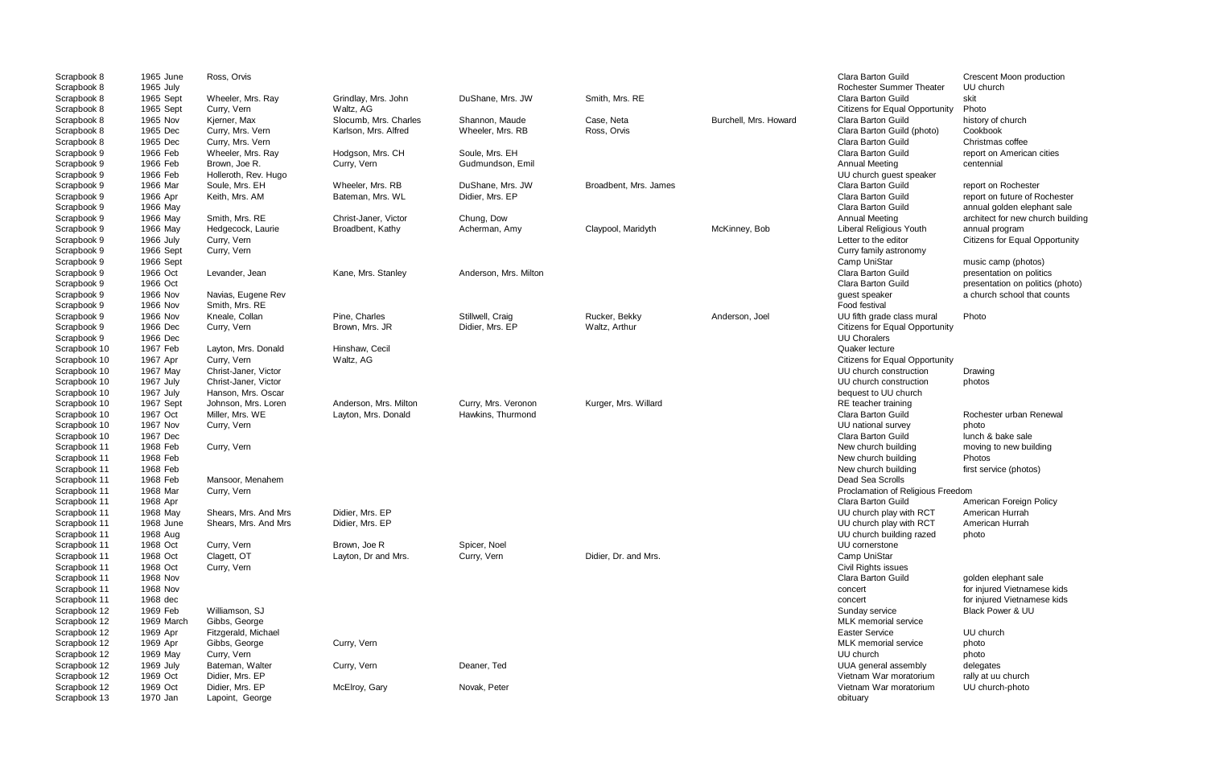| Scrapbook 8  | 1965 June  | Ross, Orvis          |                       |                       |                       |                       | Clara Barton Guild                    | Crescent Moon production    |
|--------------|------------|----------------------|-----------------------|-----------------------|-----------------------|-----------------------|---------------------------------------|-----------------------------|
| Scrapbook 8  | 1965 July  |                      |                       |                       |                       |                       | Rochester Summer Theater              | UU church                   |
| Scrapbook 8  | 1965 Sept  | Wheeler, Mrs. Ray    | Grindlay, Mrs. John   | DuShane, Mrs. JW      | Smith, Mrs. RE        |                       | Clara Barton Guild                    | skit                        |
| Scrapbook 8  | 1965 Sept  | Curry, Vern          | Waltz, AG             |                       |                       |                       | <b>Citizens for Equal Opportunity</b> | Photo                       |
| Scrapbook 8  | 1965 Nov   | Kjerner, Max         | Slocumb, Mrs. Charles | Shannon, Maude        | Case, Neta            | Burchell, Mrs. Howard | Clara Barton Guild                    | history of church           |
| Scrapbook 8  | 1965 Dec   | Curry, Mrs. Vern     | Karlson, Mrs. Alfred  | Wheeler, Mrs. RB      | Ross, Orvis           |                       | Clara Barton Guild (photo)            | Cookbook                    |
| Scrapbook 8  | 1965 Dec   | Curry, Mrs. Vern     |                       |                       |                       |                       | Clara Barton Guild                    | Christmas coffee            |
| Scrapbook 9  | 1966 Feb   | Wheeler, Mrs. Ray    | Hodgson, Mrs. CH      | Soule, Mrs. EH        |                       |                       | Clara Barton Guild                    | report on American cities   |
| Scrapbook 9  | 1966 Feb   | Brown, Joe R.        | Curry, Vern           | Gudmundson, Emil      |                       |                       | Annual Meeting                        | centennial                  |
| Scrapbook 9  | 1966 Feb   | Holleroth, Rev. Hugo |                       |                       |                       |                       | UU church guest speaker               |                             |
| Scrapbook 9  | 1966 Mar   | Soule, Mrs. EH       | Wheeler, Mrs. RB      | DuShane, Mrs. JW      | Broadbent, Mrs. James |                       | Clara Barton Guild                    | report on Rochester         |
| Scrapbook 9  | 1966 Apr   | Keith, Mrs. AM       | Bateman, Mrs. WL      | Didier, Mrs. EP       |                       |                       | Clara Barton Guild                    | report on future of Roches  |
| Scrapbook 9  | 1966 May   |                      |                       |                       |                       |                       | Clara Barton Guild                    | annual golden elephant sa   |
| Scrapbook 9  | 1966 May   | Smith, Mrs. RE       | Christ-Janer, Victor  | Chung, Dow            |                       |                       | <b>Annual Meeting</b>                 | architect for new church b  |
| Scrapbook 9  | 1966 May   | Hedgecock, Laurie    | Broadbent, Kathy      | Acherman, Amy         | Claypool, Maridyth    | McKinney, Bob         | Liberal Religious Youth               | annual program              |
| Scrapbook 9  | 1966 July  | Curry, Vern          |                       |                       |                       |                       | Letter to the editor                  | Citizens for Equal Opport   |
| Scrapbook 9  | 1966 Sept  | Curry, Vern          |                       |                       |                       |                       | Curry family astronomy                |                             |
| Scrapbook 9  | 1966 Sept  |                      |                       |                       |                       |                       | Camp UniStar                          | music camp (photos)         |
| Scrapbook 9  | 1966 Oct   | Levander, Jean       | Kane, Mrs. Stanley    | Anderson, Mrs. Milton |                       |                       | Clara Barton Guild                    | presentation on politics    |
| Scrapbook 9  | 1966 Oct   |                      |                       |                       |                       |                       | Clara Barton Guild                    | presentation on politics (p |
| Scrapbook 9  | 1966 Nov   | Navias, Eugene Rev   |                       |                       |                       |                       | guest speaker                         | a church school that coun   |
| Scrapbook 9  | 1966 Nov   | Smith, Mrs. RE       |                       |                       |                       |                       | Food festival                         |                             |
| Scrapbook 9  | 1966 Nov   | Kneale, Collan       | Pine, Charles         | Stillwell, Craig      | Rucker, Bekky         | Anderson, Joel        | UU fifth grade class mural            | Photo                       |
| Scrapbook 9  | 1966 Dec   | Curry, Vern          | Brown, Mrs. JR        | Didier, Mrs. EP       | Waltz, Arthur         |                       | <b>Citizens for Equal Opportunity</b> |                             |
| Scrapbook 9  | 1966 Dec   |                      |                       |                       |                       |                       | <b>UU Choralers</b>                   |                             |
| Scrapbook 10 | 1967 Feb   | Layton, Mrs. Donald  | Hinshaw, Cecil        |                       |                       |                       | Quaker lecture                        |                             |
| Scrapbook 10 | 1967 Apr   | Curry, Vern          | Waltz, AG             |                       |                       |                       | Citizens for Equal Opportunity        |                             |
| Scrapbook 10 | 1967 May   | Christ-Janer, Victor |                       |                       |                       |                       | UU church construction                | Drawing                     |
| Scrapbook 10 | 1967 July  | Christ-Janer, Victor |                       |                       |                       |                       | UU church construction                | photos                      |
| Scrapbook 10 | 1967 July  | Hanson, Mrs. Oscar   |                       |                       |                       |                       | bequest to UU church                  |                             |
| Scrapbook 10 | 1967 Sept  | Johnson, Mrs. Loren  | Anderson, Mrs. Milton | Curry, Mrs. Veronon   | Kurger, Mrs. Willard  |                       | RE teacher training                   |                             |
| Scrapbook 10 | 1967 Oct   | Miller, Mrs. WE      | Layton, Mrs. Donald   | Hawkins, Thurmond     |                       |                       | Clara Barton Guild                    | Rochester urban Renewa      |
| Scrapbook 10 | 1967 Nov   | Curry, Vern          |                       |                       |                       |                       | UU national survey                    | photo                       |
| Scrapbook 10 | 1967 Dec   |                      |                       |                       |                       |                       | Clara Barton Guild                    | lunch & bake sale           |
| Scrapbook 11 | 1968 Feb   | Curry, Vern          |                       |                       |                       |                       | New church building                   | moving to new building      |
| Scrapbook 11 | 1968 Feb   |                      |                       |                       |                       |                       | New church building                   | Photos                      |
| Scrapbook 11 | 1968 Feb   |                      |                       |                       |                       |                       | New church building                   | first service (photos)      |
| Scrapbook 11 | 1968 Feb   | Mansoor, Menahem     |                       |                       |                       |                       | Dead Sea Scrolls                      |                             |
| Scrapbook 11 | 1968 Mar   | Curry, Vern          |                       |                       |                       |                       | Proclamation of Religious Freedom     |                             |
| Scrapbook 11 | 1968 Apr   |                      |                       |                       |                       |                       | <b>Clara Barton Guild</b>             | American Foreign Policy     |
| Scrapbook 11 | 1968 May   | Shears, Mrs. And Mrs | Didier, Mrs. EP       |                       |                       |                       | UU church play with RCT               | American Hurrah             |
| Scrapbook 11 | 1968 June  | Shears, Mrs. And Mrs | Didier, Mrs. EP       |                       |                       |                       | UU church play with RCT               | American Hurrah             |
| Scrapbook 11 | 1968 Aug   |                      |                       |                       |                       |                       | UU church building razed              | photo                       |
| Scrapbook 11 | 1968 Oct   | Curry, Vern          | Brown, Joe R          | Spicer, Noel          |                       |                       | UU cornerstone                        |                             |
| Scrapbook 11 | 1968 Oct   | Clagett, OT          | Layton, Dr and Mrs.   | Curry, Vern           | Didier, Dr. and Mrs.  |                       | Camp UniStar                          |                             |
| Scrapbook 11 | 1968 Oct   | Curry, Vern          |                       |                       |                       |                       | Civil Rights issues                   |                             |
| Scrapbook 11 | 1968 Nov   |                      |                       |                       |                       |                       | Clara Barton Guild                    | golden elephant sale        |
| Scrapbook 11 | 1968 Nov   |                      |                       |                       |                       |                       | concert                               | for injured Vietnamese kic  |
| Scrapbook 11 | 1968 dec   |                      |                       |                       |                       |                       | concert                               | for injured Vietnamese kid  |
| Scrapbook 12 | 1969 Feb   | Williamson, SJ       |                       |                       |                       |                       | Sunday service                        | Black Power & UU            |
| Scrapbook 12 | 1969 March | Gibbs, George        |                       |                       |                       |                       | MLK memorial service                  |                             |
| Scrapbook 12 | 1969 Apr   | Fitzgerald, Michael  |                       |                       |                       |                       | <b>Easter Service</b>                 | UU church                   |
| Scrapbook 12 | 1969 Apr   | Gibbs, George        | Curry, Vern           |                       |                       |                       | MLK memorial service                  | photo                       |
| Scrapbook 12 | 1969 May   | Curry, Vern          |                       |                       |                       |                       | UU church                             | photo                       |
| Scrapbook 12 | 1969 July  | Bateman, Walter      | Curry, Vern           | Deaner, Ted           |                       |                       | UUA general assembly                  | delegates                   |
| Scrapbook 12 | 1969 Oct   | Didier, Mrs. EP      |                       |                       |                       |                       | Vietnam War moratorium                | rally at uu church          |
| Scrapbook 12 | 1969 Oct   | Didier, Mrs. EP      | McElroy, Gary         | Novak, Peter          |                       |                       | Vietnam War moratorium                | UU church-photo             |
| Scrapbook 13 | 1970 Jan   | Lapoint, George      |                       |                       |                       |                       | obituary                              |                             |
|              |            |                      |                       |                       |                       |                       |                                       |                             |

Scrapbon Guild<br>
Summer Theater UU church<br>
CIU church on Guild **Accreable Accreation** report on future of Rochester on Guild **8 1966 Marton Clara Barton Care Barton Clara Barton Clara Barton Guild** annual golden elephant sale eting architect for new church building, e editor **Citizens for Equal Opportunity** on Guild **presentation on politics (photo)** sker achurch school that counts for injured Vietnamese kids for injured Vietnamese kids<br>Black Power & UU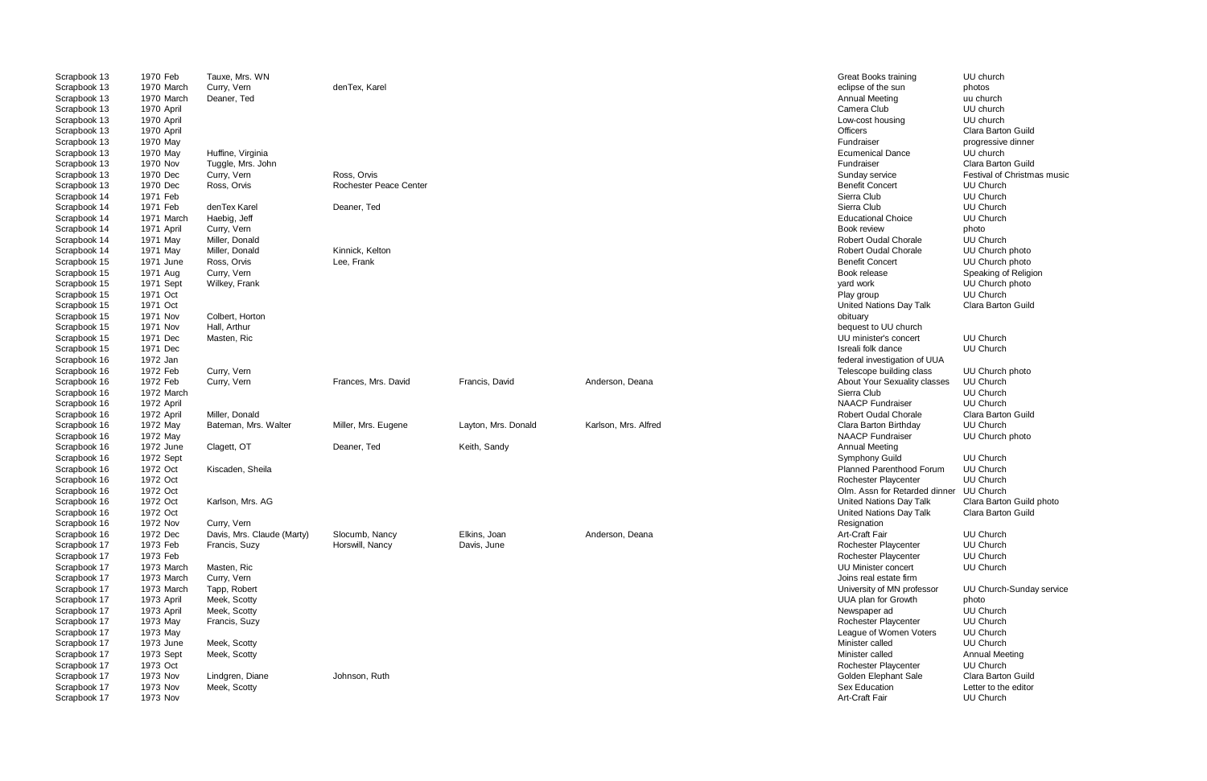| Scrapbook 13 | 1970 Feb   | Tauxe, Mrs. WN             |                               |                     |                      | Great Books training           | UU church                   |
|--------------|------------|----------------------------|-------------------------------|---------------------|----------------------|--------------------------------|-----------------------------|
| Scrapbook 13 | 1970 March | Curry, Vern                | denTex, Karel                 |                     |                      | eclipse of the sun             | photos                      |
| Scrapbook 13 | 1970 March | Deaner, Ted                |                               |                     |                      | Annual Meeting                 | uu church                   |
| Scrapbook 13 | 1970 April |                            |                               |                     |                      | Camera Club                    | UU church                   |
| Scrapbook 13 | 1970 April |                            |                               |                     |                      | Low-cost housing               | UU church                   |
| Scrapbook 13 | 1970 April |                            |                               |                     |                      | Officers                       | Clara Barton Guild          |
| Scrapbook 13 | 1970 May   |                            |                               |                     |                      | Fundraiser                     | progressive dinner          |
| Scrapbook 13 | 1970 May   | Huffine, Virginia          |                               |                     |                      | <b>Ecumenical Dance</b>        | UU church                   |
| Scrapbook 13 | 1970 Nov   | Tuggle, Mrs. John          |                               |                     |                      | Fundraiser                     | Clara Barton Guild          |
| Scrapbook 13 | 1970 Dec   | Curry, Vern                | Ross, Orvis                   |                     |                      | Sunday service                 | Festival of Christmas music |
| Scrapbook 13 | 1970 Dec   | Ross, Orvis                | <b>Rochester Peace Center</b> |                     |                      | <b>Benefit Concert</b>         | UU Church                   |
| Scrapbook 14 | 1971 Feb   |                            |                               |                     |                      | Sierra Club                    | <b>UU Church</b>            |
| Scrapbook 14 | 1971 Feb   | denTex Karel               | Deaner, Ted                   |                     |                      | Sierra Club                    | <b>UU Church</b>            |
| Scrapbook 14 | 1971 March | Haebig, Jeff               |                               |                     |                      | <b>Educational Choice</b>      | <b>UU Church</b>            |
| Scrapbook 14 | 1971 April | Curry, Vern                |                               |                     |                      | Book review                    | photo                       |
| Scrapbook 14 | 1971 May   | Miller, Donald             |                               |                     |                      | <b>Robert Oudal Chorale</b>    | <b>UU Church</b>            |
| Scrapbook 14 | 1971 May   | Miller, Donald             | Kinnick, Kelton               |                     |                      | <b>Robert Oudal Chorale</b>    | UU Church photo             |
| Scrapbook 15 | 1971 June  | Ross, Orvis                | Lee, Frank                    |                     |                      | <b>Benefit Concert</b>         | UU Church photo             |
| Scrapbook 15 | 1971 Aug   | Curry, Vern                |                               |                     |                      | Book release                   | Speaking of Religion        |
| Scrapbook 15 | 1971 Sept  | Wilkey, Frank              |                               |                     |                      | yard work                      | UU Church photo             |
| Scrapbook 15 | 1971 Oct   |                            |                               |                     |                      | Play group                     | UU Church                   |
| Scrapbook 15 | 1971 Oct   |                            |                               |                     |                      | United Nations Day Talk        | Clara Barton Guild          |
| Scrapbook 15 | 1971 Nov   | Colbert. Horton            |                               |                     |                      | obituary                       |                             |
| Scrapbook 15 | 1971 Nov   | Hall, Arthur               |                               |                     |                      | bequest to UU church           |                             |
| Scrapbook 15 | 1971 Dec   | Masten, Ric                |                               |                     |                      | UU minister's concert          | <b>UU Church</b>            |
| Scrapbook 15 | 1971 Dec   |                            |                               |                     |                      | Isreali folk dance             | <b>UU Church</b>            |
| Scrapbook 16 | 1972 Jan   |                            |                               |                     |                      | federal investigation of UUA   |                             |
| Scrapbook 16 | 1972 Feb   | Curry, Vern                |                               |                     |                      | Telescope building class       | UU Church photo             |
| Scrapbook 16 | 1972 Feb   | Curry, Vern                | Frances, Mrs. David           | Francis, David      | Anderson, Deana      | About Your Sexuality classes   | <b>UU Church</b>            |
| Scrapbook 16 | 1972 March |                            |                               |                     |                      | Sierra Club                    | <b>UU Church</b>            |
| Scrapbook 16 | 1972 April |                            |                               |                     |                      | <b>NAACP Fundraiser</b>        | <b>UU Church</b>            |
| Scrapbook 16 | 1972 April | Miller, Donald             |                               |                     |                      | Robert Oudal Chorale           | Clara Barton Guild          |
| Scrapbook 16 | 1972 May   | Bateman, Mrs. Walter       | Miller, Mrs. Eugene           | Layton, Mrs. Donald | Karlson, Mrs. Alfred | Clara Barton Birthday          | <b>UU Church</b>            |
| Scrapbook 16 | 1972 May   |                            |                               |                     |                      | <b>NAACP Fundraiser</b>        | UU Church photo             |
| Scrapbook 16 | 1972 June  | Clagett, OT                | Deaner, Ted                   | Keith, Sandy        |                      | Annual Meeting                 |                             |
| Scrapbook 16 | 1972 Sept  |                            |                               |                     |                      | Symphony Guild                 | <b>UU Church</b>            |
| Scrapbook 16 | 1972 Oct   | Kiscaden, Sheila           |                               |                     |                      | Planned Parenthood Forum       | <b>UU Church</b>            |
| Scrapbook 16 | 1972 Oct   |                            |                               |                     |                      | Rochester Playcenter           | UU Church                   |
| Scrapbook 16 | 1972 Oct   |                            |                               |                     |                      | Olm. Assn for Retarded dinner  | <b>UU Church</b>            |
| Scrapbook 16 | 1972 Oct   | Karlson, Mrs. AG           |                               |                     |                      | United Nations Day Talk        | Clara Barton Guild photo    |
| Scrapbook 16 | 1972 Oct   |                            |                               |                     |                      | <b>United Nations Day Talk</b> | Clara Barton Guild          |
| Scrapbook 16 | 1972 Nov   | Curry, Vern                |                               |                     |                      | Resignation                    |                             |
| Scrapbook 16 | 1972 Dec   | Davis, Mrs. Claude (Marty) | Slocumb, Nancy                | Elkins, Joan        | Anderson, Deana      | Art-Craft Fair                 | <b>UU Church</b>            |
| Scrapbook 17 | 1973 Feb   | Francis, Suzy              | Horswill, Nancy               | Davis, June         |                      | Rochester Playcenter           | <b>UU Church</b>            |
| Scrapbook 17 | 1973 Feb   |                            |                               |                     |                      | Rochester Playcenter           | UU Church                   |
| Scrapbook 17 | 1973 March | Masten, Ric                |                               |                     |                      | UU Minister concert            | UU Church                   |
| Scrapbook 17 | 1973 March | Curry, Vern                |                               |                     |                      | Joins real estate firm         |                             |
| Scrapbook 17 | 1973 March | Tapp, Robert               |                               |                     |                      | University of MN professor     | UU Church-Sunday service    |
| Scrapbook 17 | 1973 April | Meek, Scotty               |                               |                     |                      | UUA plan for Growth            | photo                       |
| Scrapbook 17 | 1973 April | Meek, Scotty               |                               |                     |                      | Newspaper ad                   | UU Church                   |
| Scrapbook 17 | 1973 May   | Francis, Suzy              |                               |                     |                      | Rochester Playcenter           | <b>UU Church</b>            |
| Scrapbook 17 | 1973 May   |                            |                               |                     |                      | League of Women Voters         | UU Church                   |
| Scrapbook 17 | 1973 June  | Meek, Scotty               |                               |                     |                      | Minister called                | <b>UU Church</b>            |
| Scrapbook 17 | 1973 Sept  | Meek, Scotty               |                               |                     |                      | Minister called                | <b>Annual Meeting</b>       |
| Scrapbook 17 | 1973 Oct   |                            |                               |                     |                      | Rochester Playcenter           | <b>UU Church</b>            |
| Scrapbook 17 | 1973 Nov   | Lindgren, Diane            | Johnson, Ruth                 |                     |                      | Golden Elephant Sale           | Clara Barton Guild          |
| Scrapbook 17 | 1973 Nov   | Meek, Scotty               |                               |                     |                      | Sex Education                  | Letter to the editor        |
| Scrapbook 17 | 1973 Nov   |                            |                               |                     |                      | Art-Craft Fair                 | <b>UU Church</b>            |
|              |            |                            |                               |                     |                      |                                |                             |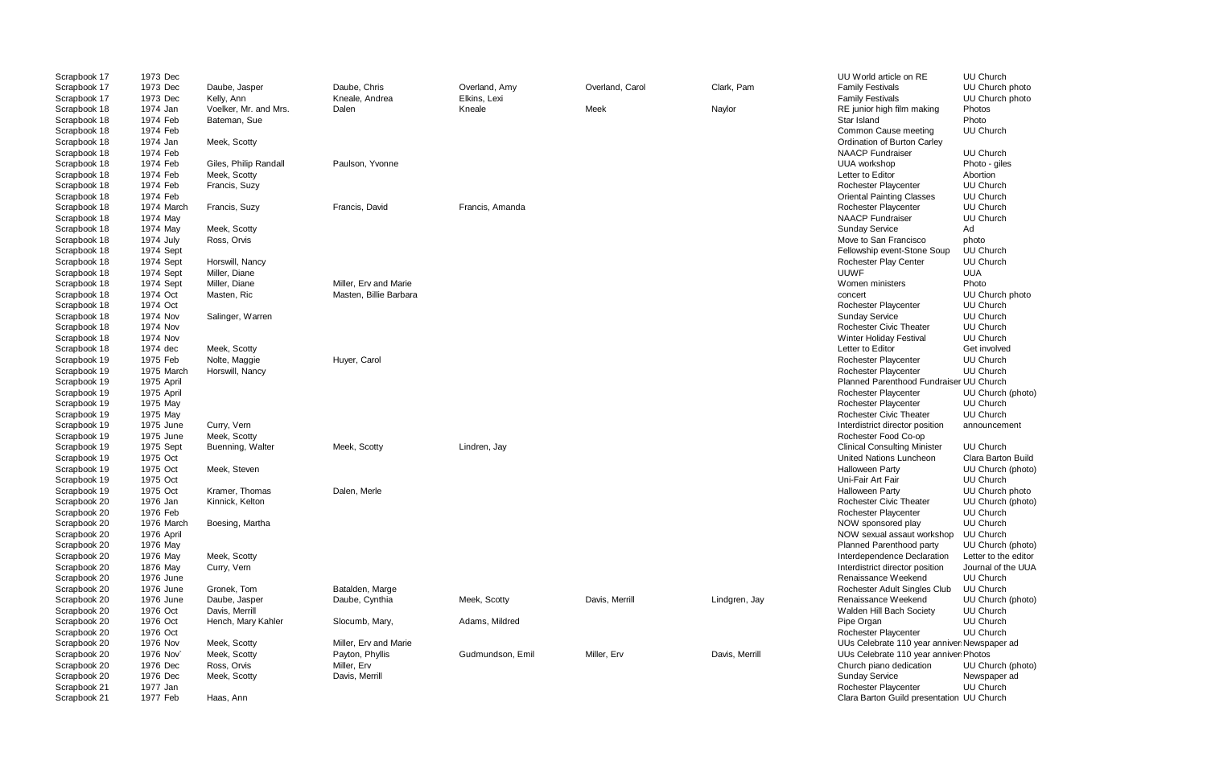| Scrapbook 17 | 1973 Dec   |                       |                        |                  |                 |                | UU World article on RE                      | <b>UU Church</b>     |
|--------------|------------|-----------------------|------------------------|------------------|-----------------|----------------|---------------------------------------------|----------------------|
| Scrapbook 17 | 1973 Dec   | Daube, Jasper         | Daube, Chris           | Overland, Amy    | Overland, Carol | Clark, Pam     | <b>Family Festivals</b>                     | UU Church photo      |
| Scrapbook 17 | 1973 Dec   | Kelly, Ann            | Kneale, Andrea         | Elkins, Lexi     |                 |                | <b>Family Festivals</b>                     | UU Church photo      |
| Scrapbook 18 | 1974 Jan   | Voelker, Mr. and Mrs. | Dalen                  | Kneale           | Meek            | Naylor         | RE junior high film making                  | Photos               |
| Scrapbook 18 | 1974 Feb   | Bateman, Sue          |                        |                  |                 |                | Star Island                                 | Photo                |
| Scrapbook 18 | 1974 Feb   |                       |                        |                  |                 |                | Common Cause meeting                        | <b>UU Church</b>     |
| Scrapbook 18 | 1974 Jan   | Meek, Scotty          |                        |                  |                 |                | Ordination of Burton Carley                 |                      |
| Scrapbook 18 | 1974 Feb   |                       |                        |                  |                 |                | <b>NAACP Fundraiser</b>                     | <b>UU Church</b>     |
| Scrapbook 18 | 1974 Feb   | Giles, Philip Randall | Paulson, Yvonne        |                  |                 |                | <b>UUA</b> workshop                         | Photo - giles        |
| Scrapbook 18 | 1974 Feb   | Meek, Scotty          |                        |                  |                 |                | Letter to Editor                            | Abortion             |
| Scrapbook 18 | 1974 Feb   | Francis, Suzy         |                        |                  |                 |                | Rochester Playcenter                        | <b>UU Church</b>     |
| Scrapbook 18 | 1974 Feb   |                       |                        |                  |                 |                | <b>Oriental Painting Classes</b>            | <b>UU Church</b>     |
| Scrapbook 18 | 1974 March | Francis, Suzy         | Francis, David         | Francis, Amanda  |                 |                | Rochester Playcenter                        | <b>UU Church</b>     |
| Scrapbook 18 | 1974 May   |                       |                        |                  |                 |                | <b>NAACP</b> Fundraiser                     | <b>UU Church</b>     |
|              |            |                       |                        |                  |                 |                |                                             |                      |
| Scrapbook 18 | 1974 May   | Meek, Scotty          |                        |                  |                 |                | <b>Sunday Service</b>                       | Ad                   |
| Scrapbook 18 | 1974 July  | Ross, Orvis           |                        |                  |                 |                | Move to San Francisco                       | photo                |
| Scrapbook 18 | 1974 Sept  |                       |                        |                  |                 |                | Fellowship event-Stone Soup                 | <b>UU Church</b>     |
| Scrapbook 18 | 1974 Sept  | Horswill, Nancy       |                        |                  |                 |                | Rochester Play Center                       | <b>UU Church</b>     |
| Scrapbook 18 | 1974 Sept  | Miller, Diane         |                        |                  |                 |                | UUWF                                        | <b>UUA</b>           |
| Scrapbook 18 | 1974 Sept  | Miller, Diane         | Miller, Erv and Marie  |                  |                 |                | Women ministers                             | Photo                |
| Scrapbook 18 | 1974 Oct   | Masten, Ric           | Masten, Billie Barbara |                  |                 |                | concert                                     | UU Church photo      |
| Scrapbook 18 | 1974 Oct   |                       |                        |                  |                 |                | Rochester Playcenter                        | <b>UU Church</b>     |
| Scrapbook 18 | 1974 Nov   | Salinger, Warren      |                        |                  |                 |                | <b>Sunday Service</b>                       | UU Church            |
| Scrapbook 18 | 1974 Nov   |                       |                        |                  |                 |                | <b>Rochester Civic Theater</b>              | UU Church            |
| Scrapbook 18 | 1974 Nov   |                       |                        |                  |                 |                | <b>Winter Holiday Festival</b>              | UU Church            |
| Scrapbook 18 | 1974 dec   | Meek, Scotty          |                        |                  |                 |                | Letter to Editor                            | Get involved         |
| Scrapbook 19 | 1975 Feb   | Nolte, Maggie         | Huyer, Carol           |                  |                 |                | Rochester Playcenter                        | <b>UU Church</b>     |
| Scrapbook 19 | 1975 March | Horswill, Nancy       |                        |                  |                 |                | Rochester Playcenter                        | <b>UU Church</b>     |
| Scrapbook 19 | 1975 April |                       |                        |                  |                 |                | Planned Parenthood Fundraiser UU Church     |                      |
| Scrapbook 19 | 1975 April |                       |                        |                  |                 |                | Rochester Playcenter                        | UU Church (photo)    |
| Scrapbook 19 | 1975 May   |                       |                        |                  |                 |                | Rochester Playcenter                        | UU Church            |
| Scrapbook 19 | 1975 May   |                       |                        |                  |                 |                | Rochester Civic Theater                     | <b>UU Church</b>     |
| Scrapbook 19 | 1975 June  | Curry, Vern           |                        |                  |                 |                | Interdistrict director position             | announcement         |
| Scrapbook 19 | 1975 June  | Meek, Scotty          |                        |                  |                 |                | Rochester Food Co-op                        |                      |
|              |            |                       |                        |                  |                 |                | <b>Clinical Consulting Minister</b>         | UU Church            |
| Scrapbook 19 | 1975 Sept  | Buenning, Walter      | Meek, Scotty           | Lindren, Jay     |                 |                |                                             |                      |
| Scrapbook 19 | 1975 Oct   |                       |                        |                  |                 |                | United Nations Luncheon                     | Clara Barton Build   |
| Scrapbook 19 | 1975 Oct   | Meek, Steven          |                        |                  |                 |                | <b>Halloween Party</b>                      | UU Church (photo)    |
| Scrapbook 19 | 1975 Oct   |                       |                        |                  |                 |                | Uni-Fair Art Fair                           | UU Church            |
| Scrapbook 19 | 1975 Oct   | Kramer, Thomas        | Dalen, Merle           |                  |                 |                | Halloween Party                             | UU Church photo      |
| Scrapbook 20 | 1976 Jan   | Kinnick, Kelton       |                        |                  |                 |                | Rochester Civic Theater                     | UU Church (photo)    |
| Scrapbook 20 | 1976 Feb   |                       |                        |                  |                 |                | Rochester Playcenter                        | UU Church            |
| Scrapbook 20 | 1976 March | Boesing, Martha       |                        |                  |                 |                | NOW sponsored play                          | UU Church            |
| Scrapbook 20 | 1976 April |                       |                        |                  |                 |                | NOW sexual assaut workshop                  | <b>UU Church</b>     |
| Scrapbook 20 | 1976 May   |                       |                        |                  |                 |                | Planned Parenthood party                    | UU Church (photo)    |
| Scrapbook 20 | 1976 May   | Meek, Scotty          |                        |                  |                 |                | Interdependence Declaration                 | Letter to the editor |
| Scrapbook 20 | 1876 May   | Curry, Vern           |                        |                  |                 |                | Interdistrict director position             | Journal of the UUA   |
| Scrapbook 20 | 1976 June  |                       |                        |                  |                 |                | Renaissance Weekend                         | UU Church            |
| Scrapbook 20 | 1976 June  | Gronek, Tom           | Batalden, Marge        |                  |                 |                | Rochester Adult Singles Club                | UU Church            |
| Scrapbook 20 | 1976 June  | Daube, Jasper         | Daube, Cynthia         | Meek, Scotty     | Davis, Merrill  | Lindgren, Jay  | Renaissance Weekend                         | UU Church (photo)    |
| Scrapbook 20 | 1976 Oct   | Davis, Merrill        |                        |                  |                 |                | Walden Hill Bach Society                    | UU Church            |
| Scrapbook 20 | 1976 Oct   | Hench, Mary Kahler    | Slocumb, Mary,         | Adams, Mildred   |                 |                | Pipe Organ                                  | UU Church            |
| Scrapbook 20 | 1976 Oct   |                       |                        |                  |                 |                | Rochester Playcenter                        | <b>UU Church</b>     |
| Scrapbook 20 | 1976 Nov   | Meek, Scotty          | Miller, Erv and Marie  |                  |                 |                | UUs Celebrate 110 year anniver Newspaper ad |                      |
| Scrapbook 20 | 1976 Nov   | Meek, Scotty          | Payton, Phyllis        | Gudmundson, Emil | Miller, Erv     | Davis, Merrill | UUs Celebrate 110 year anniver Photos       |                      |
| Scrapbook 20 | 1976 Dec   | Ross, Orvis           | Miller, Erv            |                  |                 |                | Church piano dedication                     | UU Church (photo)    |
| Scrapbook 20 | 1976 Dec   | Meek, Scotty          | Davis, Merrill         |                  |                 |                | <b>Sunday Service</b>                       | Newspaper ad         |
| Scrapbook 21 | 1977 Jan   |                       |                        |                  |                 |                | Rochester Playcenter                        | UU Church            |
| Scrapbook 21 | 1977 Feb   | Haas, Ann             |                        |                  |                 |                | Clara Barton Guild presentation UU Church   |                      |
|              |            |                       |                        |                  |                 |                |                                             |                      |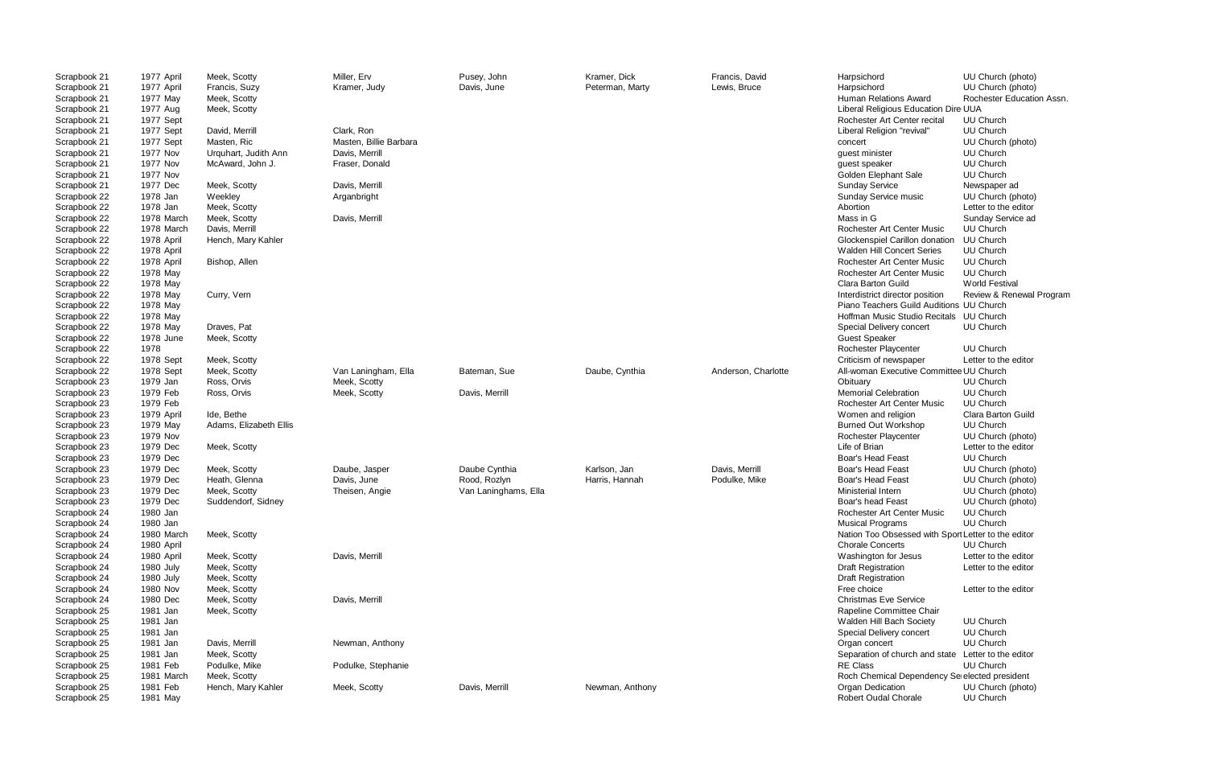| Scrapbook 21 | 1977 April | Meek, Scotty           | Miller, Erv            | Pusey, John          | Kramer, Dick    | Francis, David      | Harpsichord                                         | UU Church (photo)         |
|--------------|------------|------------------------|------------------------|----------------------|-----------------|---------------------|-----------------------------------------------------|---------------------------|
| Scrapbook 21 | 1977 April | Francis, Suzy          | Kramer, Judy           | Davis, June          | Peterman, Marty | Lewis, Bruce        | Harpsichord                                         | UU Church (photo)         |
| Scrapbook 21 | 1977 May   | Meek, Scotty           |                        |                      |                 |                     | Human Relations Award                               | Rochester Education Assn. |
| Scrapbook 21 | 1977 Aug   | Meek, Scotty           |                        |                      |                 |                     | Liberal Religious Education Dire UUA                |                           |
| Scrapbook 21 | 1977 Sept  |                        |                        |                      |                 |                     | Rochester Art Center recital                        | <b>UU Church</b>          |
| Scrapbook 21 | 1977 Sept  | David, Merrill         | Clark, Ron             |                      |                 |                     | Liberal Religion "revival"                          | <b>UU Church</b>          |
| Scrapbook 21 | 1977 Sept  | Masten, Ric            | Masten, Billie Barbara |                      |                 |                     | concert                                             | UU Church (photo)         |
| Scrapbook 21 | 1977 Nov   | Urquhart, Judith Ann   | Davis, Merrill         |                      |                 |                     | guest minister                                      | UU Church                 |
| Scrapbook 21 | 1977 Nov   | McAward, John J.       | Fraser, Donald         |                      |                 |                     | guest speaker                                       | UU Church                 |
| Scrapbook 21 | 1977 Nov   |                        |                        |                      |                 |                     | Golden Elephant Sale                                | UU Church                 |
| Scrapbook 21 | 1977 Dec   | Meek, Scotty           | Davis, Merrill         |                      |                 |                     | <b>Sunday Service</b>                               | Newspaper ad              |
| Scrapbook 22 | 1978 Jan   | Weekley                | Arganbright            |                      |                 |                     | Sunday Service music                                | UU Church (photo)         |
| Scrapbook 22 | 1978 Jan   | Meek, Scotty           |                        |                      |                 |                     | Abortion                                            | Letter to the editor      |
| Scrapbook 22 | 1978 March | Meek, Scotty           | Davis, Merrill         |                      |                 |                     | Mass in G                                           | Sunday Service ad         |
| Scrapbook 22 | 1978 March | Davis, Merrill         |                        |                      |                 |                     | Rochester Art Center Music                          | <b>UU Church</b>          |
| Scrapbook 22 | 1978 April | Hench, Mary Kahler     |                        |                      |                 |                     | Glockenspiel Carillon donation                      | <b>UU Church</b>          |
| Scrapbook 22 | 1978 April |                        |                        |                      |                 |                     | Walden Hill Concert Series                          | <b>UU Church</b>          |
| Scrapbook 22 | 1978 April | Bishop, Allen          |                        |                      |                 |                     | Rochester Art Center Music                          | UU Church                 |
| Scrapbook 22 | 1978 May   |                        |                        |                      |                 |                     | Rochester Art Center Music                          | <b>UU Church</b>          |
| Scrapbook 22 | 1978 May   |                        |                        |                      |                 |                     | Clara Barton Guild                                  | <b>World Festival</b>     |
| Scrapbook 22 | 1978 May   | Curry, Vern            |                        |                      |                 |                     | Interdistrict director position                     | Review & Renewal Progran  |
| Scrapbook 22 | 1978 May   |                        |                        |                      |                 |                     | Piano Teachers Guild Auditions UU Church            |                           |
| Scrapbook 22 | 1978 May   |                        |                        |                      |                 |                     | Hoffman Music Studio Recitals UU Church             |                           |
| Scrapbook 22 | 1978 May   | Draves, Pat            |                        |                      |                 |                     | Special Delivery concert                            | UU Church                 |
| Scrapbook 22 | 1978 June  | Meek, Scotty           |                        |                      |                 |                     | <b>Guest Speaker</b>                                |                           |
| Scrapbook 22 | 1978       |                        |                        |                      |                 |                     | Rochester Playcenter                                | <b>UU Church</b>          |
| Scrapbook 22 | 1978 Sept  | Meek, Scotty           |                        |                      |                 |                     | Criticism of newspaper                              | Letter to the editor      |
| Scrapbook 22 | 1978 Sept  | Meek, Scotty           | Van Laningham, Ella    | Bateman, Sue         | Daube, Cynthia  | Anderson, Charlotte | All-woman Executive Committee UU Church             |                           |
| Scrapbook 23 | 1979 Jan   | Ross, Orvis            | Meek, Scotty           |                      |                 |                     | Obituary                                            | UU Church                 |
| Scrapbook 23 | 1979 Feb   | Ross, Orvis            | Meek, Scotty           | Davis, Merrill       |                 |                     | <b>Memorial Celebration</b>                         | UU Church                 |
| Scrapbook 23 | 1979 Feb   |                        |                        |                      |                 |                     | Rochester Art Center Music                          | <b>UU Church</b>          |
| Scrapbook 23 | 1979 April | Ide, Bethe             |                        |                      |                 |                     | Women and religion                                  | Clara Barton Guild        |
| Scrapbook 23 | 1979 May   | Adams, Elizabeth Ellis |                        |                      |                 |                     | <b>Burned Out Workshop</b>                          | UU Church                 |
| Scrapbook 23 | 1979 Nov   |                        |                        |                      |                 |                     | Rochester Playcenter                                | UU Church (photo)         |
| Scrapbook 23 | 1979 Dec   | Meek, Scotty           |                        |                      |                 |                     | Life of Brian                                       | Letter to the editor      |
| Scrapbook 23 | 1979 Dec   |                        |                        |                      |                 |                     | <b>Boar's Head Feast</b>                            | UU Church                 |
| Scrapbook 23 | 1979 Dec   | Meek, Scotty           | Daube, Jasper          | Daube Cynthia        | Karlson, Jan    | Davis, Merrill      | <b>Boar's Head Feast</b>                            | UU Church (photo)         |
| Scrapbook 23 | 1979 Dec   | Heath, Glenna          | Davis, June            | Rood, Rozlyn         | Harris, Hannah  | Podulke, Mike       | <b>Boar's Head Feast</b>                            | UU Church (photo)         |
| Scrapbook 23 | 1979 Dec   | Meek, Scotty           | Theisen, Angie         | Van Laninghams, Ella |                 |                     | Ministerial Intern                                  | UU Church (photo)         |
| Scrapbook 23 | 1979 Dec   | Suddendorf, Sidney     |                        |                      |                 |                     | Boar's head Feast                                   | UU Church (photo)         |
| Scrapbook 24 | 1980 Jan   |                        |                        |                      |                 |                     | Rochester Art Center Music                          | UU Church                 |
| Scrapbook 24 | 1980 Jan   |                        |                        |                      |                 |                     | <b>Musical Programs</b>                             | UU Church                 |
| Scrapbook 24 | 1980 March | Meek, Scotty           |                        |                      |                 |                     | Nation Too Obsessed with Sport Letter to the editor |                           |
| Scrapbook 24 | 1980 April |                        |                        |                      |                 |                     | <b>Chorale Concerts</b>                             | UU Church                 |
| Scrapbook 24 | 1980 April | Meek, Scotty           | Davis, Merrill         |                      |                 |                     | Washington for Jesus                                | Letter to the editor      |
| Scrapbook 24 | 1980 July  | Meek, Scotty           |                        |                      |                 |                     | <b>Draft Registration</b>                           | Letter to the editor      |
| Scrapbook 24 | 1980 July  | Meek, Scotty           |                        |                      |                 |                     | <b>Draft Registration</b>                           |                           |
| Scrapbook 24 | 1980 Nov   | Meek, Scotty           |                        |                      |                 |                     | Free choice                                         | Letter to the editor      |
| Scrapbook 24 | 1980 Dec   | Meek, Scotty           | Davis, Merrill         |                      |                 |                     | <b>Christmas Eve Service</b>                        |                           |
| Scrapbook 25 | 1981 Jan   | Meek, Scotty           |                        |                      |                 |                     | Rapeline Committee Chair                            |                           |
| Scrapbook 25 | 1981 Jan   |                        |                        |                      |                 |                     | Walden Hill Bach Society                            | UU Church                 |
| Scrapbook 25 | 1981 Jan   |                        |                        |                      |                 |                     | Special Delivery concert                            | UU Church                 |
| Scrapbook 25 | 1981 Jan   | Davis, Merrill         | Newman, Anthony        |                      |                 |                     | Organ concert                                       | <b>UU Church</b>          |
| Scrapbook 25 | 1981 Jan   | Meek, Scotty           |                        |                      |                 |                     | Separation of church and state Letter to the editor |                           |
| Scrapbook 25 | 1981 Feb   | Podulke, Mike          | Podulke, Stephanie     |                      |                 |                     | RE Class                                            | UU Church                 |
| Scrapbook 25 | 1981 March | Meek, Scotty           |                        |                      |                 |                     | Roch Chemical Dependency Se elected president       |                           |
| Scrapbook 25 | 1981 Feb   | Hench, Mary Kahler     | Meek, Scotty           | Davis, Merrill       | Newman, Anthony |                     | Organ Dedication                                    | UU Church (photo)         |
| Scrapbook 25 | 1981 May   |                        |                        |                      |                 |                     | Robert Oudal Chorale                                | UU Church                 |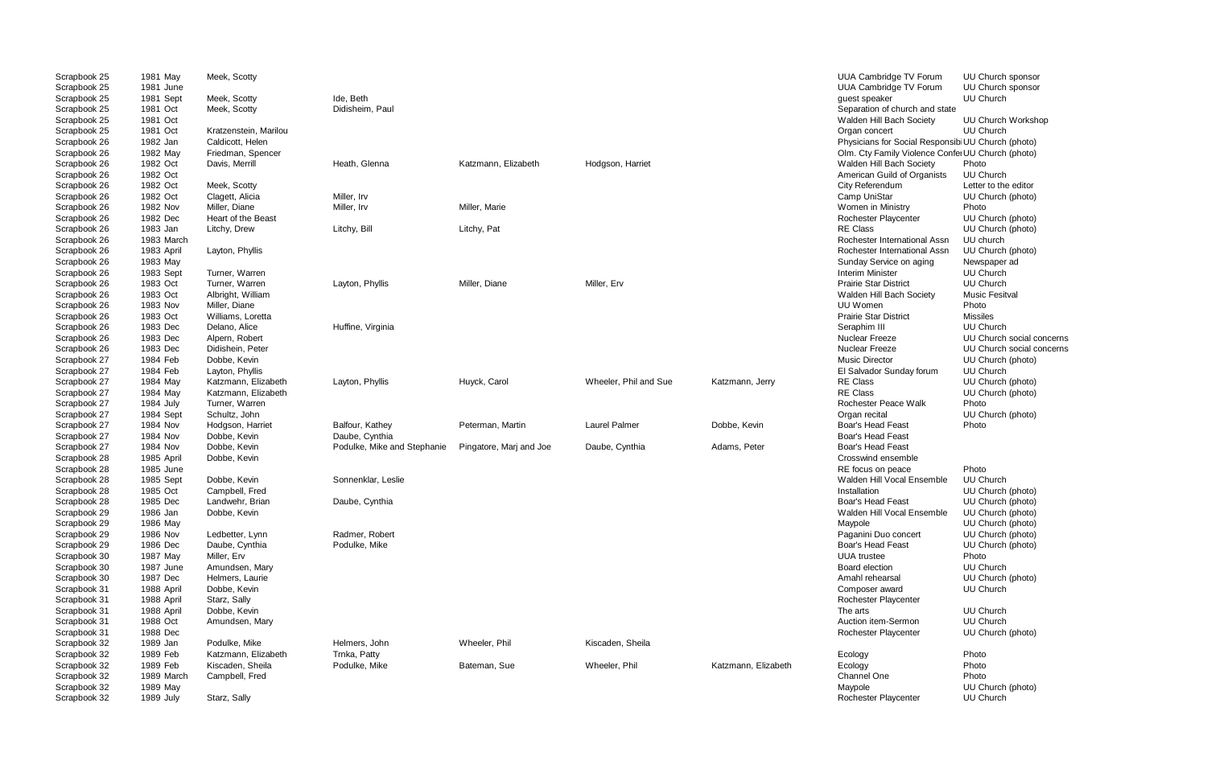| Scrapbook 25<br>Scrapbook 25 | 1981 May<br>1981 June | Meek, Scotty          |                             |                         |                       |                     | UUA Cambridge TV Forum<br><b>UUA Cambridge TV Forum</b> | UU Church sponsor<br>UU Church sponsor |
|------------------------------|-----------------------|-----------------------|-----------------------------|-------------------------|-----------------------|---------------------|---------------------------------------------------------|----------------------------------------|
| Scrapbook 25                 | 1981 Sept             | Meek, Scotty          | Ide, Beth                   |                         |                       |                     | guest speaker                                           | UU Church                              |
| Scrapbook 25                 | 1981 Oct              | Meek, Scotty          | Didisheim, Paul             |                         |                       |                     | Separation of church and state                          |                                        |
| Scrapbook 25                 | 1981 Oct              |                       |                             |                         |                       |                     | Walden Hill Bach Society                                | <b>UU Church Workshop</b>              |
| Scrapbook 25                 | 1981 Oct              | Kratzenstein, Marilou |                             |                         |                       |                     | Organ concert                                           | UU Church                              |
| Scrapbook 26                 | 1982 Jan              | Caldicott, Helen      |                             |                         |                       |                     | Physicians for Social Responsibi UU Church (photo)      |                                        |
| Scrapbook 26                 | 1982 May              | Friedman, Spencer     |                             |                         |                       |                     | Olm. Cty Family Violence Confer UU Church (photo)       |                                        |
| Scrapbook 26                 | 1982 Oct              | Davis, Merrill        | Heath, Glenna               | Katzmann, Elizabeth     | Hodgson, Harriet      |                     | Walden Hill Bach Society                                | Photo                                  |
| Scrapbook 26                 | 1982 Oct              |                       |                             |                         |                       |                     | American Guild of Organists                             | UU Church                              |
| Scrapbook 26                 | 1982 Oct              | Meek, Scotty          |                             |                         |                       |                     | City Referendum                                         | Letter to the editor                   |
| Scrapbook 26                 | 1982 Oct              | Clagett, Alicia       | Miller, Irv                 |                         |                       |                     | Camp UniStar                                            | UU Church (photo)                      |
| Scrapbook 26                 | 1982 Nov              | Miller, Diane         | Miller, Irv                 | Miller, Marie           |                       |                     | Women in Ministry                                       | Photo                                  |
| Scrapbook 26                 | 1982 Dec              | Heart of the Beast    |                             |                         |                       |                     | Rochester Playcenter                                    | UU Church (photo)                      |
| Scrapbook 26                 | 1983 Jan              | Litchy, Drew          | Litchy, Bill                | Litchy, Pat             |                       |                     | <b>RE Class</b>                                         | UU Church (photo)                      |
| Scrapbook 26                 | 1983 March            |                       |                             |                         |                       |                     | Rochester International Assn                            | UU church                              |
| Scrapbook 26                 | 1983 April            | Layton, Phyllis       |                             |                         |                       |                     | Rochester International Assn                            | UU Church (photo)                      |
| Scrapbook 26                 | 1983 May              |                       |                             |                         |                       |                     | Sunday Service on aging                                 | Newspaper ad                           |
| Scrapbook 26                 | 1983 Sept             | Turner, Warren        |                             |                         |                       |                     | <b>Interim Minister</b>                                 | <b>UU Church</b>                       |
| Scrapbook 26                 | 1983 Oct              | Turner, Warren        | Layton, Phyllis             | Miller, Diane           | Miller, Erv           |                     | <b>Prairie Star District</b>                            | UU Church                              |
| Scrapbook 26                 | 1983 Oct              | Albright, William     |                             |                         |                       |                     | Walden Hill Bach Society                                | <b>Music Fesitval</b>                  |
| Scrapbook 26                 | 1983 Nov              | Miller, Diane         |                             |                         |                       |                     | UU Women                                                | Photo                                  |
| Scrapbook 26                 | 1983 Oct              | Williams, Loretta     |                             |                         |                       |                     | <b>Prairie Star District</b>                            | <b>Missiles</b>                        |
| Scrapbook 26                 | 1983 Dec              | Delano, Alice         | Huffine, Virginia           |                         |                       |                     | Seraphim III                                            | UU Church                              |
| Scrapbook 26                 | 1983 Dec              | Alpern, Robert        |                             |                         |                       |                     | <b>Nuclear Freeze</b>                                   | UU Church social concerns              |
| Scrapbook 26                 | 1983 Dec              | Didishein, Peter      |                             |                         |                       |                     | <b>Nuclear Freeze</b>                                   | UU Church social concerns              |
| Scrapbook 27                 | 1984 Feb              | Dobbe, Kevin          |                             |                         |                       |                     | <b>Music Director</b>                                   | UU Church (photo)                      |
| Scrapbook 27                 | 1984 Feb              | Layton, Phyllis       |                             |                         |                       |                     | El Salvador Sunday forum                                | UU Church                              |
| Scrapbook 27                 | 1984 May              | Katzmann, Elizabeth   | Layton, Phyllis             | Huyck, Carol            | Wheeler, Phil and Sue | Katzmann, Jerry     | RE Class                                                | UU Church (photo)                      |
| Scrapbook 27                 | 1984 May              | Katzmann, Elizabeth   |                             |                         |                       |                     | <b>RE Class</b>                                         | UU Church (photo)                      |
| Scrapbook 27                 | 1984 July             | Turner, Warren        |                             |                         |                       |                     | <b>Rochester Peace Walk</b>                             | Photo                                  |
| Scrapbook 27                 | 1984 Sept             | Schultz, John         |                             |                         |                       |                     | Organ recital                                           | UU Church (photo)                      |
| Scrapbook 27                 | 1984 Nov              | Hodgson, Harriet      | Balfour, Kathey             | Peterman, Martin        | <b>Laurel Palmer</b>  | Dobbe, Kevin        | Boar's Head Feast                                       | Photo                                  |
| Scrapbook 27                 | 1984 Nov              | Dobbe, Kevin          | Daube, Cynthia              |                         |                       |                     | <b>Boar's Head Feast</b>                                |                                        |
| Scrapbook 27                 | 1984 Nov              | Dobbe, Kevin          | Podulke, Mike and Stephanie | Pingatore, Marj and Joe | Daube, Cynthia        | Adams, Peter        | <b>Boar's Head Feast</b>                                |                                        |
| Scrapbook 28                 | 1985 April            | Dobbe, Kevin          |                             |                         |                       |                     | Crosswind ensemble                                      |                                        |
| Scrapbook 28                 | 1985 June             |                       |                             |                         |                       |                     | RE focus on peace                                       | Photo                                  |
| Scrapbook 28                 | 1985 Sept             | Dobbe, Kevin          | Sonnenklar, Leslie          |                         |                       |                     | Walden Hill Vocal Ensemble                              | UU Church                              |
| Scrapbook 28                 | 1985 Oct              | Campbell, Fred        |                             |                         |                       |                     | Installation                                            | UU Church (photo)                      |
| Scrapbook 28                 | 1985 Dec              | Landwehr, Brian       | Daube, Cynthia              |                         |                       |                     | <b>Boar's Head Feast</b>                                | UU Church (photo)                      |
| Scrapbook 29                 | 1986 Jan              | Dobbe, Kevin          |                             |                         |                       |                     | Walden Hill Vocal Ensemble                              | UU Church (photo)                      |
| Scrapbook 29                 | 1986 May              |                       |                             |                         |                       |                     | Maypole                                                 | UU Church (photo)                      |
| Scrapbook 29                 | 1986 Nov              | Ledbetter, Lynn       | Radmer, Robert              |                         |                       |                     | Paganini Duo concert                                    | UU Church (photo)                      |
| Scrapbook 29                 | 1986 Dec              | Daube, Cynthia        | Podulke, Mike               |                         |                       |                     | <b>Boar's Head Feast</b>                                | UU Church (photo)                      |
| Scrapbook 30                 | 1987 May              | Miller, Erv           |                             |                         |                       |                     | <b>UUA</b> trustee                                      | Photo                                  |
| Scrapbook 30                 | 1987 June             | Amundsen, Mary        |                             |                         |                       |                     | <b>Board election</b>                                   | <b>UU Church</b>                       |
| Scrapbook 30                 | 1987 Dec              | Helmers, Laurie       |                             |                         |                       |                     | Amahl rehearsal                                         | UU Church (photo)                      |
| Scrapbook 31                 | 1988 April            | Dobbe, Kevin          |                             |                         |                       |                     | Composer award                                          | <b>UU Church</b>                       |
| Scrapbook 31                 | 1988 April            | Starz, Sally          |                             |                         |                       |                     | Rochester Playcenter                                    |                                        |
| Scrapbook 31                 | 1988 April            | Dobbe, Kevin          |                             |                         |                       |                     | The arts                                                | <b>UU Church</b>                       |
| Scrapbook 31                 | 1988 Oct              | Amundsen, Mary        |                             |                         |                       |                     | Auction item-Sermon                                     | UU Church                              |
| Scrapbook 31                 | 1988 Dec              |                       |                             |                         |                       |                     | Rochester Playcenter                                    | UU Church (photo)                      |
| Scrapbook 32                 | 1989 Jan              | Podulke, Mike         | Helmers, John               | Wheeler, Phil           | Kiscaden, Sheila      |                     |                                                         |                                        |
| Scrapbook 32                 | 1989 Feb              | Katzmann, Elizabeth   | Trnka, Patty                |                         |                       |                     | Ecology                                                 | Photo                                  |
| Scrapbook 32                 | 1989 Feb              | Kiscaden, Sheila      | Podulke, Mike               | Bateman, Sue            | Wheeler, Phil         | Katzmann, Elizabeth | Ecology                                                 | Photo                                  |
| Scrapbook 32                 | 1989 March            | Campbell, Fred        |                             |                         |                       |                     | <b>Channel One</b>                                      | Photo                                  |
| Scrapbook 32                 | 1989 May              |                       |                             |                         |                       |                     | Maypole                                                 | UU Church (photo)                      |
| Scrapbook 32                 | 1989 July             | Starz, Sally          |                             |                         |                       |                     | Rochester Playcenter                                    | UU Church                              |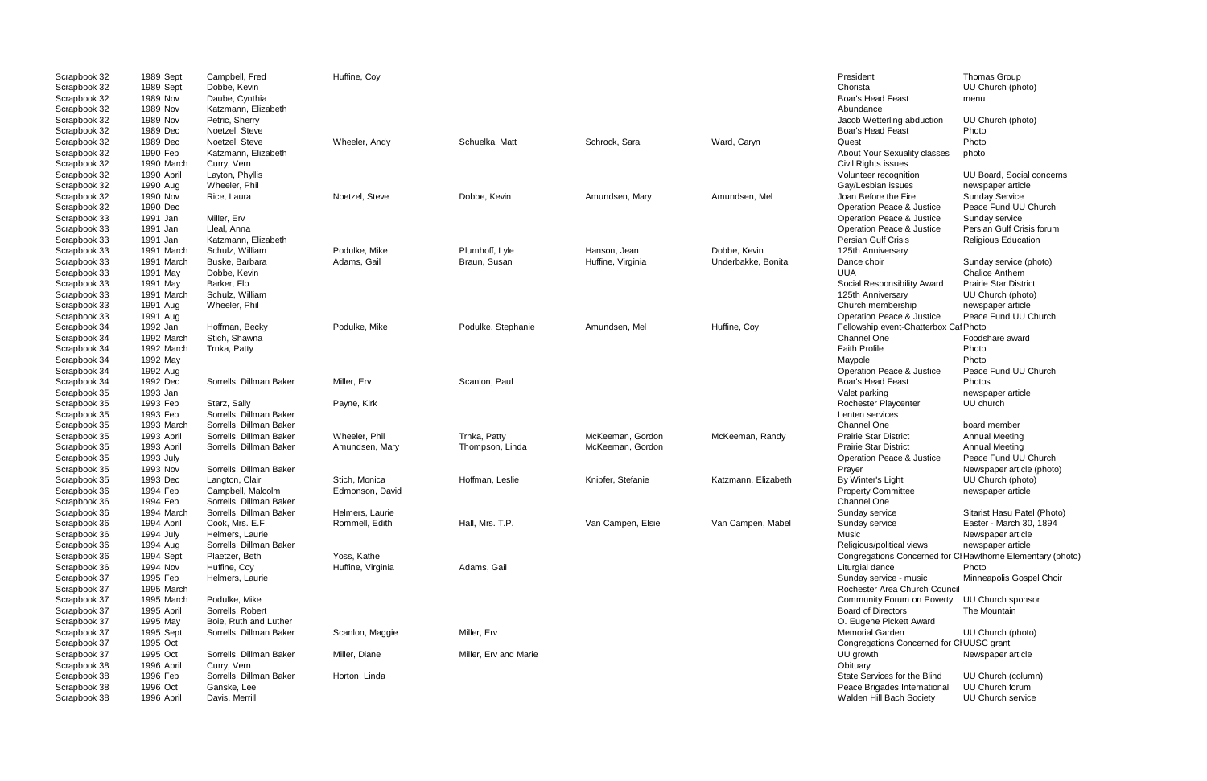| Scrapbook 32<br>Scrapbook 32<br>Scrapbook 32 | 1989 Sept<br>1989 Sept<br>1989 Nov | Campbell, Fred<br>Dobbe, Kevin<br>Daube, Cynthia | Huffine, Coy      |                       |                   |                     | President<br>Chorista<br><b>Boar's Head Feast</b> | Thomas Group<br>UU Church (photo)<br>menu |
|----------------------------------------------|------------------------------------|--------------------------------------------------|-------------------|-----------------------|-------------------|---------------------|---------------------------------------------------|-------------------------------------------|
| Scrapbook 32<br>Scrapbook 32                 | 1989 Nov<br>1989 Nov               | Katzmann, Elizabeth<br>Petric, Sherry            |                   |                       |                   |                     | Abundance<br>Jacob Wetterling abduction           | UU Church (photo)                         |
| Scrapbook 32                                 | 1989 Dec                           | Noetzel, Steve                                   |                   |                       |                   |                     | <b>Boar's Head Feast</b>                          | Photo                                     |
| Scrapbook 32                                 | 1989 Dec                           | Noetzel, Steve                                   | Wheeler, Andy     | Schuelka, Matt        | Schrock, Sara     | Ward, Caryn         | Quest                                             | Photo                                     |
| Scrapbook 32                                 | 1990 Feb                           | Katzmann, Elizabeth                              |                   |                       |                   |                     | About Your Sexuality classes                      | photo                                     |
| Scrapbook 32                                 | 1990 March                         | Curry, Vern                                      |                   |                       |                   |                     | Civil Rights issues                               |                                           |
| Scrapbook 32                                 | 1990 April                         | Layton, Phyllis                                  |                   |                       |                   |                     | Volunteer recognition                             | UU Board, Social concerns                 |
| Scrapbook 32                                 | 1990 Aug                           | Wheeler, Phil                                    |                   |                       |                   |                     | Gay/Lesbian issues                                | newspaper article                         |
| Scrapbook 32                                 | 1990 Nov                           | Rice, Laura                                      | Noetzel, Steve    | Dobbe, Kevin          | Amundsen, Mary    | Amundsen, Mel       | Joan Before the Fire                              | <b>Sunday Service</b>                     |
| Scrapbook 32                                 | 1990 Dec                           |                                                  |                   |                       |                   |                     | Operation Peace & Justice                         | Peace Fund UU Church                      |
| Scrapbook 33                                 | 1991 Jan                           | Miller, Erv                                      |                   |                       |                   |                     | Operation Peace & Justice                         | Sunday service                            |
| Scrapbook 33                                 | 1991 Jan                           | Lleal, Anna                                      |                   |                       |                   |                     | Operation Peace & Justice                         | Persian Gulf Crisis forum                 |
| Scrapbook 33                                 | 1991 Jan                           | Katzmann, Elizabeth                              |                   |                       |                   |                     | Persian Gulf Crisis                               | <b>Religious Education</b>                |
| Scrapbook 33                                 | 1991 March                         | Schulz, William                                  | Podulke, Mike     | Plumhoff, Lyle        | Hanson, Jean      | Dobbe, Kevin        | 125th Anniversary                                 |                                           |
| Scrapbook 33                                 | 1991 March                         | Buske, Barbara                                   | Adams, Gail       | Braun, Susan          | Huffine, Virginia | Underbakke, Bonita  | Dance choir                                       | Sunday service (photo)                    |
| Scrapbook 33                                 | 1991 May                           | Dobbe, Kevin                                     |                   |                       |                   |                     | <b>UUA</b>                                        | <b>Chalice Anthem</b>                     |
| Scrapbook 33                                 | 1991 May                           | Barker, Flo                                      |                   |                       |                   |                     | Social Responsibility Award                       | <b>Prairie Star District</b>              |
| Scrapbook 33                                 | 1991 March                         | Schulz, William                                  |                   |                       |                   |                     | 125th Anniversary                                 | UU Church (photo)                         |
| Scrapbook 33                                 | 1991 Aug                           | Wheeler, Phil                                    |                   |                       |                   |                     | Church membership                                 | newspaper article                         |
| Scrapbook 33                                 | 1991 Aug                           |                                                  |                   |                       |                   |                     | Operation Peace & Justice                         | Peace Fund UU Church                      |
| Scrapbook 34                                 | 1992 Jan                           | Hoffman, Becky                                   | Podulke, Mike     | Podulke, Stephanie    | Amundsen, Mel     | Huffine, Coy        | Fellowship event-Chatterbox Caf Photo             |                                           |
| Scrapbook 34                                 | 1992 March                         | Stich, Shawna                                    |                   |                       |                   |                     | Channel One                                       | Foodshare award                           |
| Scrapbook 34                                 | 1992 March                         | Trnka, Patty                                     |                   |                       |                   |                     | <b>Faith Profile</b>                              | Photo                                     |
| Scrapbook 34                                 | 1992 May                           |                                                  |                   |                       |                   |                     | Maypole                                           | Photo                                     |
| Scrapbook 34                                 | 1992 Aug                           |                                                  |                   |                       |                   |                     | Operation Peace & Justice                         | Peace Fund UU Church                      |
| Scrapbook 34                                 | 1992 Dec                           | Sorrells, Dillman Baker                          | Miller, Erv       | Scanlon, Paul         |                   |                     | <b>Boar's Head Feast</b>                          | Photos                                    |
| Scrapbook 35                                 | 1993 Jan                           |                                                  |                   |                       |                   |                     | Valet parking                                     | newspaper article                         |
| Scrapbook 35                                 | 1993 Feb                           | Starz, Sally                                     | Payne, Kirk       |                       |                   |                     | Rochester Playcenter                              | UU church                                 |
| Scrapbook 35                                 | 1993 Feb                           | Sorrells, Dillman Baker                          |                   |                       |                   |                     | Lenten services                                   |                                           |
| Scrapbook 35                                 | 1993 March                         | Sorrells, Dillman Baker                          |                   |                       |                   |                     | <b>Channel One</b>                                | board member                              |
| Scrapbook 35                                 | 1993 April                         | Sorrells, Dillman Baker                          | Wheeler, Phil     | Trnka, Patty          | McKeeman, Gordon  | McKeeman, Randy     | <b>Prairie Star District</b>                      | <b>Annual Meeting</b>                     |
| Scrapbook 35                                 | 1993 April                         | Sorrells, Dillman Baker                          | Amundsen, Mary    | Thompson, Linda       | McKeeman, Gordon  |                     | <b>Prairie Star District</b>                      | <b>Annual Meeting</b>                     |
| Scrapbook 35                                 | 1993 July                          |                                                  |                   |                       |                   |                     | Operation Peace & Justice                         | Peace Fund UU Church                      |
| Scrapbook 35                                 | 1993 Nov                           | Sorrells, Dillman Baker                          |                   |                       |                   |                     | Prayer                                            | Newspaper article (photo)                 |
| Scrapbook 35                                 | 1993 Dec                           | Langton, Clair                                   | Stich, Monica     | Hoffman, Leslie       | Knipfer, Stefanie | Katzmann, Elizabeth | By Winter's Light                                 | UU Church (photo)                         |
| Scrapbook 36                                 | 1994 Feb                           | Campbell, Malcolm                                | Edmonson, David   |                       |                   |                     | <b>Property Committee</b>                         | newspaper article                         |
| Scrapbook 36                                 | 1994 Feb                           | Sorrells, Dillman Baker                          |                   |                       |                   |                     | <b>Channel One</b>                                |                                           |
| Scrapbook 36                                 | 1994 March                         | Sorrells, Dillman Baker                          | Helmers, Laurie   |                       |                   |                     | Sunday service                                    | Sitarist Hasu Patel (Photo)               |
| Scrapbook 36                                 | 1994 April                         | Cook, Mrs. E.F.                                  | Rommell, Edith    | Hall, Mrs. T.P.       | Van Campen, Elsie | Van Campen, Mabel   | Sunday service                                    | Easter - March 30, 1894                   |
| Scrapbook 36                                 | 1994 July                          | Helmers, Laurie                                  |                   |                       |                   |                     | Music                                             | Newspaper article                         |
| Scrapbook 36                                 | 1994 Aug                           | Sorrells, Dillman Baker                          |                   |                       |                   |                     | Religious/political views                         | newspaper article                         |
| Scrapbook 36                                 | 1994 Sept                          | Plaetzer, Beth                                   | Yoss, Kathe       |                       |                   |                     | Congregations Concerned for                       | Cl Hawthorne Elementary (photo)           |
| Scrapbook 36                                 | 1994 Nov                           | Huffine, Coy                                     | Huffine, Virginia | Adams, Gail           |                   |                     | Liturgial dance                                   | Photo                                     |
| Scrapbook 37                                 | 1995 Feb                           | Helmers, Laurie                                  |                   |                       |                   |                     | Sunday service - music                            | Minneapolis Gospel Choir                  |
| Scrapbook 37                                 | 1995 March                         |                                                  |                   |                       |                   |                     | Rochester Area Church Council                     |                                           |
| Scrapbook 37                                 | 1995 March                         | Podulke, Mike                                    |                   |                       |                   |                     | Community Forum on Poverty                        | UU Church sponsor                         |
| Scrapbook 37                                 | 1995 April                         | Sorrells, Robert                                 |                   |                       |                   |                     | <b>Board of Directors</b>                         | The Mountain                              |
| Scrapbook 37                                 | 1995 May                           | Boie, Ruth and Luther                            |                   |                       |                   |                     | O. Eugene Pickett Award                           |                                           |
| Scrapbook 37                                 | 1995 Sept                          | Sorrells, Dillman Baker                          | Scanlon, Maggie   | Miller, Erv           |                   |                     | <b>Memorial Garden</b>                            | UU Church (photo)                         |
| Scrapbook 37                                 | 1995 Oct                           |                                                  |                   |                       |                   |                     | Congregations Concerned for CI UUSC grant         |                                           |
| Scrapbook 37                                 | 1995 Oct                           | Sorrells, Dillman Baker                          | Miller, Diane     | Miller, Erv and Marie |                   |                     | UU growth                                         | Newspaper article                         |
| Scrapbook 38                                 | 1996 April                         | Curry, Vern                                      |                   |                       |                   |                     | Obituary                                          |                                           |
| Scrapbook 38                                 | 1996 Feb                           | Sorrells, Dillman Baker                          | Horton, Linda     |                       |                   |                     | State Services for the Blind                      | UU Church (column)                        |
| Scrapbook 38                                 | 1996 Oct                           | Ganske, Lee                                      |                   |                       |                   |                     | Peace Brigades International                      | UU Church forum                           |
| Scrapbook 38                                 | 1996 April                         | Davis, Merrill                                   |                   |                       |                   |                     | Walden Hill Bach Society                          | UU Church service                         |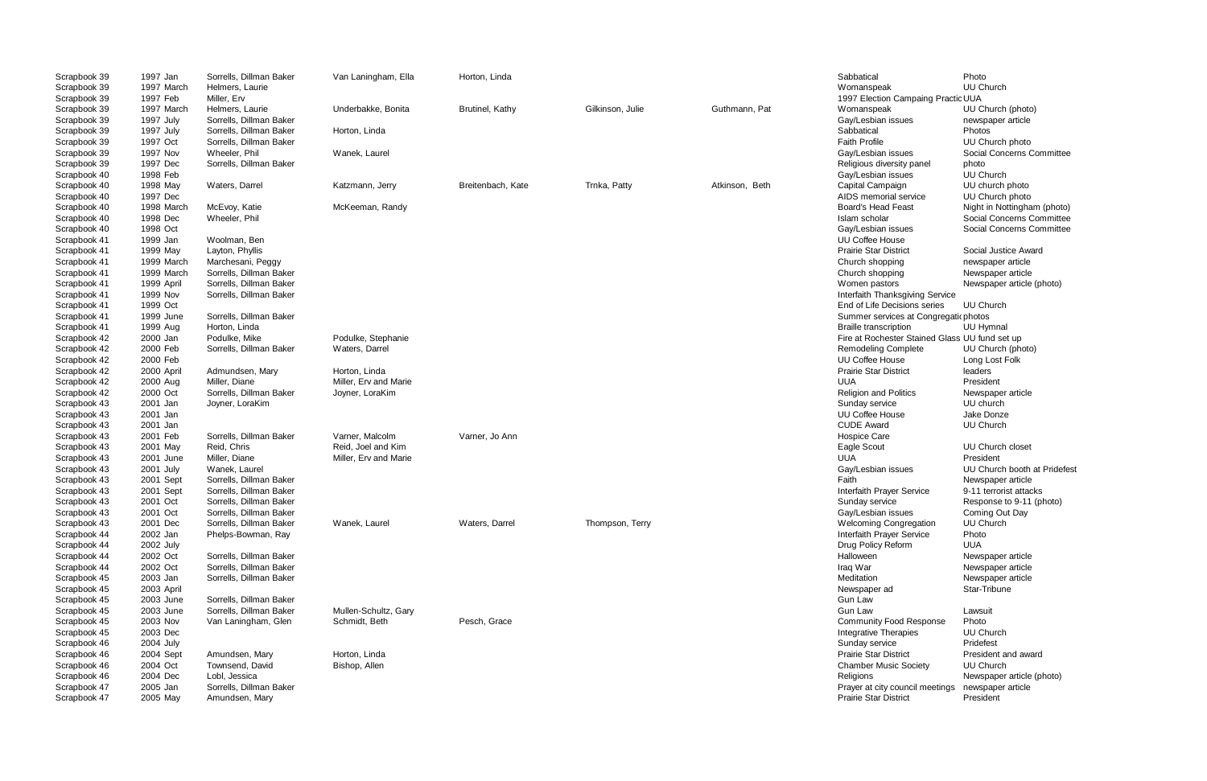Scrapbook 39 1997 Feb Miller, Erv 1997 Election Campaing PracticesUUA rvices at Congregatic photos<br>Cription Baker Summal ester Stained Glass UU fund set up issues UU Church booth at Pridefest<br>Newspaper article

| Scrapbook 39 | 1997 Jan   | Sorrells, Dillman Baker | Van Laningham, Ella   | Horton, Linda          |                  |                | Sabbatical                                     | Photo                       |
|--------------|------------|-------------------------|-----------------------|------------------------|------------------|----------------|------------------------------------------------|-----------------------------|
| Scrapbook 39 | 1997 March | Helmers, Laurie         |                       |                        |                  |                | Womanspeak                                     | UU Church                   |
| Scrapbook 39 | 1997 Feb   | Miller, Erv             |                       |                        |                  |                | 1997 Election Campaing Practic UUA             |                             |
| Scrapbook 39 | 1997 March | Helmers, Laurie         | Underbakke, Bonita    | <b>Brutinel, Kathy</b> | Gilkinson, Julie | Guthmann, Pat  | Womanspeak                                     | UU Church (photo)           |
| Scrapbook 39 | 1997 July  | Sorrells, Dillman Baker |                       |                        |                  |                | Gay/Lesbian issues                             | newspaper article           |
| Scrapbook 39 | 1997 July  | Sorrells, Dillman Baker | Horton, Linda         |                        |                  |                | Sabbatical                                     | <b>Photos</b>               |
| Scrapbook 39 | 1997 Oct   | Sorrells, Dillman Baker |                       |                        |                  |                | <b>Faith Profile</b>                           | UU Church photo             |
| Scrapbook 39 | 1997 Nov   | Wheeler, Phil           | Wanek, Laurel         |                        |                  |                | Gay/Lesbian issues                             | Social Concerns Committee   |
| Scrapbook 39 | 1997 Dec   | Sorrells, Dillman Baker |                       |                        |                  |                | Religious diversity panel                      | photo                       |
| Scrapbook 40 | 1998 Feb   |                         |                       |                        |                  |                | Gay/Lesbian issues                             | UU Church                   |
| Scrapbook 40 | 1998 May   | Waters, Darrel          | Katzmann, Jerry       | Breitenbach, Kate      | Trnka, Patty     | Atkinson, Beth | Capital Campaign                               | UU church photo             |
| Scrapbook 40 | 1997 Dec   |                         |                       |                        |                  |                | AIDS memorial service                          | UU Church photo             |
| Scrapbook 40 | 1998 March | McEvoy, Katie           | McKeeman, Randy       |                        |                  |                | <b>Board's Head Feast</b>                      | Night in Nottingham (photo) |
| Scrapbook 40 | 1998 Dec   | Wheeler, Phil           |                       |                        |                  |                | Islam scholar                                  | Social Concerns Committee   |
| Scrapbook 40 | 1998 Oct   |                         |                       |                        |                  |                | Gay/Lesbian issues                             | Social Concerns Committee   |
| Scrapbook 41 | 1999 Jan   | Woolman, Ben            |                       |                        |                  |                | UU Coffee House                                |                             |
| Scrapbook 41 | 1999 May   | Layton, Phyllis         |                       |                        |                  |                | <b>Prairie Star District</b>                   | Social Justice Award        |
| Scrapbook 41 | 1999 March | Marchesani, Peggy       |                       |                        |                  |                | Church shopping                                | newspaper article           |
| Scrapbook 41 | 1999 March | Sorrells, Dillman Baker |                       |                        |                  |                | Church shopping                                | Newspaper article           |
| Scrapbook 41 | 1999 April | Sorrells, Dillman Baker |                       |                        |                  |                | Women pastors                                  | Newspaper article (photo)   |
| Scrapbook 41 | 1999 Nov   | Sorrells, Dillman Baker |                       |                        |                  |                | Interfaith Thanksgiving Service                |                             |
| Scrapbook 41 | 1999 Oct   |                         |                       |                        |                  |                | End of Life Decisions series                   | UU Church                   |
| Scrapbook 41 | 1999 June  | Sorrells, Dillman Baker |                       |                        |                  |                | Summer services at Congregatic photos          |                             |
| Scrapbook 41 | 1999 Aug   | Horton, Linda           |                       |                        |                  |                | <b>Braille transcription</b>                   | UU Hymnal                   |
| Scrapbook 42 | 2000 Jan   | Podulke, Mike           | Podulke, Stephanie    |                        |                  |                | Fire at Rochester Stained Glass UU fund set up |                             |
| Scrapbook 42 | 2000 Feb   | Sorrells, Dillman Baker | Waters, Darrel        |                        |                  |                | <b>Remodeling Complete</b>                     | UU Church (photo)           |
| Scrapbook 42 | 2000 Feb   |                         |                       |                        |                  |                | UU Coffee House                                | Long Lost Folk              |
| Scrapbook 42 | 2000 April | Admundsen, Mary         | Horton, Linda         |                        |                  |                | <b>Prairie Star District</b>                   | leaders                     |
| Scrapbook 42 | 2000 Aug   | Miller, Diane           | Miller, Erv and Marie |                        |                  |                | UUA                                            | President                   |
| Scrapbook 42 | 2000 Oct   | Sorrells, Dillman Baker | Joyner, LoraKim       |                        |                  |                | <b>Religion and Politics</b>                   | Newspaper article           |
| Scrapbook 43 | 2001 Jan   | Joyner, LoraKim         |                       |                        |                  |                | Sunday service                                 | UU church                   |
| Scrapbook 43 | 2001 Jan   |                         |                       |                        |                  |                | UU Coffee House                                | Jake Donze                  |
| Scrapbook 43 | 2001 Jan   |                         |                       |                        |                  |                | <b>CUDE Award</b>                              | <b>UU Church</b>            |
| Scrapbook 43 | 2001 Feb   | Sorrells, Dillman Baker | Varner, Malcolm       | Varner, Jo Ann         |                  |                | Hospice Care                                   |                             |
| Scrapbook 43 | 2001 May   | Reid, Chris             | Reid, Joel and Kim    |                        |                  |                | Eagle Scout                                    | UU Church closet            |
| Scrapbook 43 | 2001 June  | Miller, Diane           | Miller, Erv and Marie |                        |                  |                | UUA                                            | President                   |
| Scrapbook 43 | 2001 July  | Wanek, Laurel           |                       |                        |                  |                | Gay/Lesbian issues                             | UU Church booth at Pridefe  |
| Scrapbook 43 | 2001 Sept  | Sorrells, Dillman Baker |                       |                        |                  |                | Faith                                          | Newspaper article           |
| Scrapbook 43 | 2001 Sept  | Sorrells, Dillman Baker |                       |                        |                  |                | Interfaith Prayer Service                      | 9-11 terrorist attacks      |
| Scrapbook 43 | 2001 Oct   | Sorrells, Dillman Baker |                       |                        |                  |                | Sunday service                                 | Response to 9-11 (photo)    |
| Scrapbook 43 | 2001 Oct   | Sorrells, Dillman Baker |                       |                        |                  |                | Gay/Lesbian issues                             | Coming Out Day              |
| Scrapbook 43 | 2001 Dec   | Sorrells, Dillman Baker | Wanek, Laurel         | Waters, Darrel         | Thompson, Terry  |                | <b>Welcoming Congregation</b>                  | <b>UU Church</b>            |
| Scrapbook 44 | 2002 Jan   | Phelps-Bowman, Ray      |                       |                        |                  |                | Interfaith Prayer Service                      | Photo                       |
| Scrapbook 44 | 2002 July  |                         |                       |                        |                  |                | Drug Policy Reform                             | UUA                         |
| Scrapbook 44 | 2002 Oct   | Sorrells, Dillman Baker |                       |                        |                  |                | Halloween                                      | Newspaper article           |
| Scrapbook 44 | 2002 Oct   | Sorrells, Dillman Baker |                       |                        |                  |                | Iraq War                                       | Newspaper article           |
| Scrapbook 45 | 2003 Jan   | Sorrells, Dillman Baker |                       |                        |                  |                | Meditation                                     | Newspaper article           |
| Scrapbook 45 | 2003 April |                         |                       |                        |                  |                | Newspaper ad                                   | Star-Tribune                |
| Scrapbook 45 | 2003 June  | Sorrells, Dillman Baker |                       |                        |                  |                | Gun Law                                        |                             |
| Scrapbook 45 | 2003 June  | Sorrells, Dillman Baker | Mullen-Schultz, Gary  |                        |                  |                | <b>Gun Law</b>                                 | Lawsuit                     |
| Scrapbook 45 | 2003 Nov   | Van Laningham, Glen     | Schmidt, Beth         | Pesch, Grace           |                  |                | <b>Community Food Response</b>                 | Photo                       |
| Scrapbook 45 | 2003 Dec   |                         |                       |                        |                  |                | Integrative Therapies                          | <b>UU Church</b>            |
| Scrapbook 46 | 2004 July  |                         |                       |                        |                  |                | Sunday service                                 | Pridefest                   |
| Scrapbook 46 | 2004 Sept  | Amundsen, Mary          | Horton, Linda         |                        |                  |                | <b>Prairie Star District</b>                   | President and award         |
| Scrapbook 46 | 2004 Oct   | Townsend, David         | Bishop, Allen         |                        |                  |                | <b>Chamber Music Society</b>                   | <b>UU Church</b>            |
| Scrapbook 46 | 2004 Dec   | Lobl, Jessica           |                       |                        |                  |                | Religions                                      | Newspaper article (photo)   |
| Scrapbook 47 | 2005 Jan   | Sorrells, Dillman Baker |                       |                        |                  |                | Prayer at city council meetings                | newspaper article           |
| Scrapbook 47 | 2005 May   | Amundsen, Mary          |                       |                        |                  |                | <b>Prairie Star District</b>                   | President                   |
|              |            |                         |                       |                        |                  |                |                                                |                             |